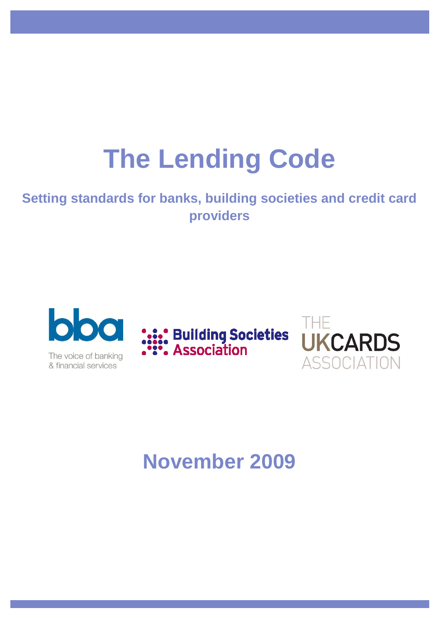# **The Lending Code**

# **Setting standards for banks, building societies and credit card providers**



# **November 2009**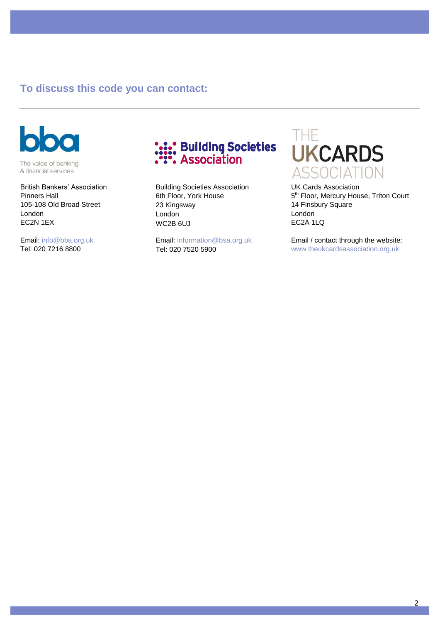# **To discuss this code you can contact:**



The voice of banking & financial services

British Bankers' Association Pinners Hall 105-108 Old Broad Street London EC2N 1EX

Email: [info@bba.org.uk](mailto:info@bba.org.uk) Tel: 020 7216 8800

# **:.:: Building Societies<br>:::: Association**

Building Societies Association 6th Floor, York House 23 Kingsway London WC2B 6UJ

Email: [information@bsa.org.uk](mailto:information@bsa.org.uk) Tel: 020 7520 5900

# THE<br>**UKCARDS ASSOCIATION**

UK Cards Association 5<sup>th</sup> Floor, Mercury House, Triton Court 14 Finsbury Square London EC2A 1LQ

Email / contact through the website: [www.theukcardsassociation.org.uk](http://www.theukcardsassociation.org.uk/)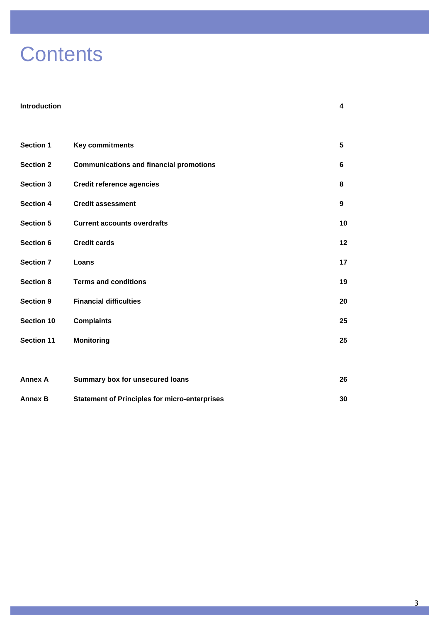# **Contents**

| Introduction      |                                                      | $\overline{\mathbf{4}}$ |
|-------------------|------------------------------------------------------|-------------------------|
| <b>Section 1</b>  | <b>Key commitments</b>                               | 5                       |
| <b>Section 2</b>  | <b>Communications and financial promotions</b>       | 6                       |
| <b>Section 3</b>  | <b>Credit reference agencies</b>                     | 8                       |
| <b>Section 4</b>  | <b>Credit assessment</b>                             | 9                       |
| <b>Section 5</b>  | <b>Current accounts overdrafts</b>                   | 10                      |
| Section 6         | <b>Credit cards</b>                                  | 12                      |
| <b>Section 7</b>  | Loans                                                | 17                      |
| <b>Section 8</b>  | <b>Terms and conditions</b>                          | 19                      |
| <b>Section 9</b>  | <b>Financial difficulties</b>                        | 20                      |
| Section 10        | <b>Complaints</b>                                    | 25                      |
| <b>Section 11</b> | <b>Monitoring</b>                                    | 25                      |
|                   |                                                      |                         |
| <b>Annex A</b>    | Summary box for unsecured loans                      | 26                      |
| <b>Annex B</b>    | <b>Statement of Principles for micro-enterprises</b> | 30                      |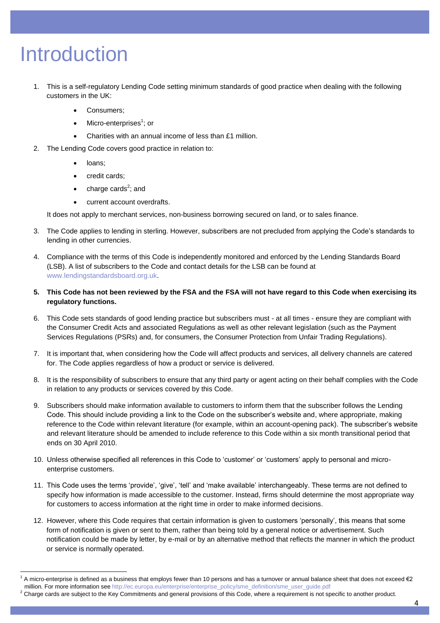# **Introduction**

- 1. This is a self-regulatory Lending Code setting minimum standards of good practice when dealing with the following customers in the UK:
	- Consumers;
	- $\bullet$  Micro-enterprises<sup>1</sup>; or
	- Charities with an annual income of less than £1 million.
- 2. The Lending Code covers good practice in relation to:
	- loans;

 $\overline{a}$ 

- credit cards;
- $\bullet$  charge cards<sup>2</sup>; and
- current account overdrafts.

It does not apply to merchant services, non-business borrowing secured on land, or to sales finance.

- 3. The Code applies to lending in sterling. However, subscribers are not precluded from applying the Code's standards to lending in other currencies.
- 4. Compliance with the terms of this Code is independently monitored and enforced by the Lending Standards Board (LSB). A list of subscribers to the Code and contact details for the LSB can be found at [www.lendingstandardsboard.org.uk.](http://www.lendingstandardsboard.org.uk/)
- **5. This Code has not been reviewed by the FSA and the FSA will not have regard to this Code when exercising its regulatory functions.**
- 6. This Code sets standards of good lending practice but subscribers must at all times ensure they are compliant with the Consumer Credit Acts and associated Regulations as well as other relevant legislation (such as the Payment Services Regulations (PSRs) and, for consumers, the Consumer Protection from Unfair Trading Regulations).
- 7. It is important that, when considering how the Code will affect products and services, all delivery channels are catered for. The Code applies regardless of how a product or service is delivered.
- 8. It is the responsibility of subscribers to ensure that any third party or agent acting on their behalf complies with the Code in relation to any products or services covered by this Code.
- 9. Subscribers should make information available to customers to inform them that the subscriber follows the Lending Code. This should include providing a link to the Code on the subscriber's website and, where appropriate, making reference to the Code within relevant literature (for example, within an account-opening pack). The subscriber's website and relevant literature should be amended to include reference to this Code within a six month transitional period that ends on 30 April 2010.
- 10. Unless otherwise specified all references in this Code to 'customer' or 'customers' apply to personal and microenterprise customers.
- 11. This Code uses the terms 'provide', 'give', 'tell' and 'make available' interchangeably. These terms are not defined to specify how information is made accessible to the customer. Instead, firms should determine the most appropriate way for customers to access information at the right time in order to make informed decisions.
- 12. However, where this Code requires that certain information is given to customers 'personally', this means that some form of notification is given or sent to them, rather than being told by a general notice or advertisement. Such notification could be made by letter, by e-mail or by an alternative method that reflects the manner in which the product or service is normally operated.

A micro-enterprise is defined as a business that employs fewer than 10 persons and has a turnover or annual balance sheet that does not exceed €2 million. For more information se[e http://ec.europa.eu/enterprise/enterprise\\_policy/sme\\_definition/sme\\_user\\_guide.pdf](http://ec.europa.eu/enterprise/enterprise_policy/sme_definition/sme_user_guide.pdf)

 $^2$  Charge cards are subject to the Key Commitments and general provisions of this Code, where a requirement is not specific to another product.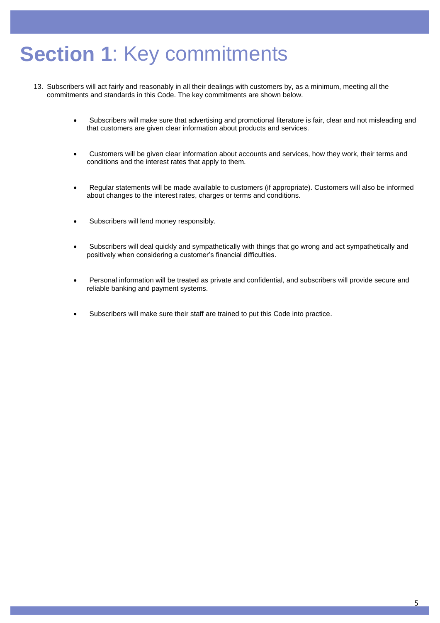# **Section 1**: Key commitments

- 13. Subscribers will act fairly and reasonably in all their dealings with customers by, as a minimum, meeting all the commitments and standards in this Code. The key commitments are shown below.
	- Subscribers will make sure that advertising and promotional literature is fair, clear and not misleading and that customers are given clear information about products and services.
	- Customers will be given clear information about accounts and services, how they work, their terms and conditions and the interest rates that apply to them.
	- Regular statements will be made available to customers (if appropriate). Customers will also be informed about changes to the interest rates, charges or terms and conditions.
	- Subscribers will lend money responsibly.
	- Subscribers will deal quickly and sympathetically with things that go wrong and act sympathetically and positively when considering a customer's financial difficulties.
	- Personal information will be treated as private and confidential, and subscribers will provide secure and reliable banking and payment systems.
	- Subscribers will make sure their staff are trained to put this Code into practice.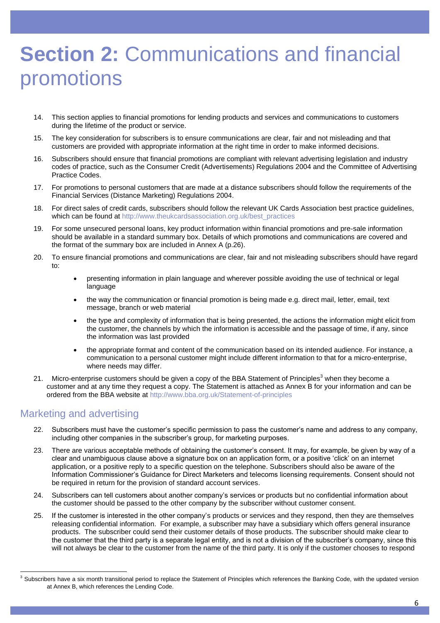# **Section 2: Communications and financial** promotions

- 14. This section applies to financial promotions for lending products and services and communications to customers during the lifetime of the product or service.
- 15. The key consideration for subscribers is to ensure communications are clear, fair and not misleading and that customers are provided with appropriate information at the right time in order to make informed decisions.
- 16. Subscribers should ensure that financial promotions are compliant with relevant advertising legislation and industry codes of practice, such as the Consumer Credit (Advertisements) Regulations 2004 and the Committee of Advertising Practice Codes.
- 17. For promotions to personal customers that are made at a distance subscribers should follow the requirements of the Financial Services (Distance Marketing) Regulations 2004.
- 18. For direct sales of credit cards, subscribers should follow the relevant UK Cards Association best practice guidelines, which can be found at [http://www.theukcardsassociation.org.uk/best\\_practices](http://www.theukcardsassociation.org.uk/best_practices)
- 19. For some unsecured personal loans, key product information within financial promotions and pre-sale information should be available in a standard summary box. Details of which promotions and communications are covered and the format of the summary box are included in Annex A (p.26).
- 20. To ensure financial promotions and communications are clear, fair and not misleading subscribers should have regard to:
	- presenting information in plain language and wherever possible avoiding the use of technical or legal language
	- the way the communication or financial promotion is being made e.g. direct mail, letter, email, text message, branch or web material
	- the type and complexity of information that is being presented, the actions the information might elicit from the customer, the channels by which the information is accessible and the passage of time, if any, since the information was last provided
	- the appropriate format and content of the communication based on its intended audience. For instance, a communication to a personal customer might include different information to that for a micro-enterprise, where needs may differ.
- 21. Micro-enterprise customers should be given a copy of the BBA Statement of Principles<sup>3</sup> when they become a customer and at any time they request a copy. The Statement is attached as Annex B for your information and can be ordered from the BBA website at<http://www.bba.org.uk/Statement-of-principles>

## Marketing and advertising

 $\overline{a}$ 

- 22. Subscribers must have the customer's specific permission to pass the customer's name and address to any company, including other companies in the subscriber's group, for marketing purposes.
- 23. There are various acceptable methods of obtaining the customer's consent. It may, for example, be given by way of a clear and unambiguous clause above a signature box on an application form, or a positive 'click' on an internet application, or a positive reply to a specific question on the telephone. Subscribers should also be aware of the Information Commissioner's Guidance for Direct Marketers and telecoms licensing requirements. Consent should not be required in return for the provision of standard account services.
- 24. Subscribers can tell customers about another company's services or products but no confidential information about the customer should be passed to the other company by the subscriber without customer consent.
- 25. If the customer is interested in the other company's products or services and they respond, then they are themselves releasing confidential information. For example, a subscriber may have a subsidiary which offers general insurance products. The subscriber could send their customer details of those products. The subscriber should make clear to the customer that the third party is a separate legal entity, and is not a division of the subscriber's company, since this will not always be clear to the customer from the name of the third party. It is only if the customer chooses to respond

Subscribers have a six month transitional period to replace the Statement of Principles which references the Banking Code, with the updated version at Annex B, which references the Lending Code.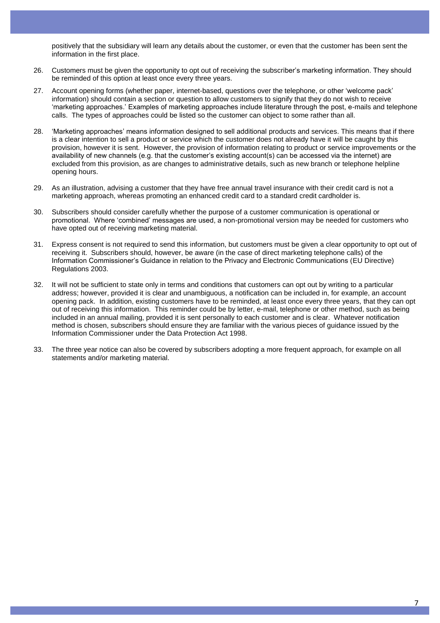positively that the subsidiary will learn any details about the customer, or even that the customer has been sent the information in the first place.

- 26. Customers must be given the opportunity to opt out of receiving the subscriber's marketing information. They should be reminded of this option at least once every three years.
- 27. Account opening forms (whether paper, internet-based, questions over the telephone, or other 'welcome pack' information) should contain a section or question to allow customers to signify that they do not wish to receive 'marketing approaches.' Examples of marketing approaches include literature through the post, e-mails and telephone calls. The types of approaches could be listed so the customer can object to some rather than all.
- 28. 'Marketing approaches' means information designed to sell additional products and services. This means that if there is a clear intention to sell a product or service which the customer does not already have it will be caught by this provision, however it is sent. However, the provision of information relating to product or service improvements or the availability of new channels (e.g. that the customer's existing account(s) can be accessed via the internet) are excluded from this provision, as are changes to administrative details, such as new branch or telephone helpline opening hours.
- 29. As an illustration, advising a customer that they have free annual travel insurance with their credit card is not a marketing approach, whereas promoting an enhanced credit card to a standard credit cardholder is.
- 30. Subscribers should consider carefully whether the purpose of a customer communication is operational or promotional. Where 'combined' messages are used, a non-promotional version may be needed for customers who have opted out of receiving marketing material.
- 31. Express consent is not required to send this information, but customers must be given a clear opportunity to opt out of receiving it. Subscribers should, however, be aware (in the case of direct marketing telephone calls) of the Information Commissioner's Guidance in relation to the Privacy and Electronic Communications (EU Directive) Regulations 2003.
- 32. It will not be sufficient to state only in terms and conditions that customers can opt out by writing to a particular address; however, provided it is clear and unambiguous, a notification can be included in, for example, an account opening pack. In addition, existing customers have to be reminded, at least once every three years, that they can opt out of receiving this information. This reminder could be by letter, e-mail, telephone or other method, such as being included in an annual mailing, provided it is sent personally to each customer and is clear. Whatever notification method is chosen, subscribers should ensure they are familiar with the various pieces of guidance issued by the Information Commissioner under the Data Protection Act 1998.
- 33. The three year notice can also be covered by subscribers adopting a more frequent approach, for example on all statements and/or marketing material.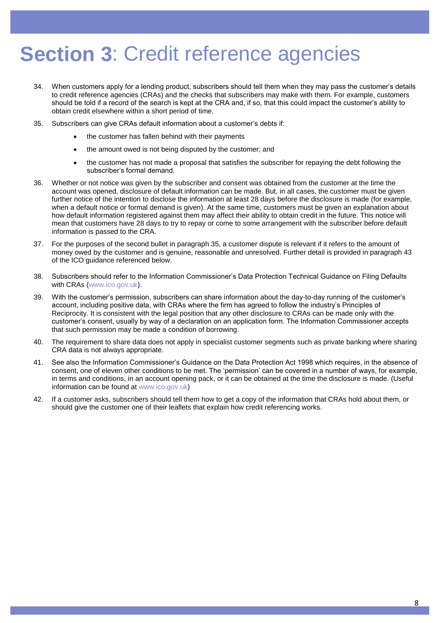# **Section 3**: Credit reference agencies

- 34. When customers apply for a lending product, subscribers should tell them when they may pass the customer's details to credit reference agencies (CRAs) and the checks that subscribers may make with them. For example, customers should be told if a record of the search is kept at the CRA and, if so, that this could impact the customer's ability to obtain credit elsewhere within a short period of time.
- 35. Subscribers can give CRAs default information about a customer's debts if:
	- the customer has fallen behind with their payments
	- the amount owed is not being disputed by the customer; and
	- the customer has not made a proposal that satisfies the subscriber for repaying the debt following the subscriber's formal demand.
- 36. Whether or not notice was given by the subscriber and consent was obtained from the customer at the time the account was opened, disclosure of default information can be made. But, in all cases, the customer must be given further notice of the intention to disclose the information at least 28 days before the disclosure is made (for example, when a default notice or formal demand is given). At the same time, customers must be given an explanation about how default information registered against them may affect their ability to obtain credit in the future. This notice will mean that customers have 28 days to try to repay or come to some arrangement with the subscriber before default information is passed to the CRA.
- 37. For the purposes of the second bullet in paragraph 35, a customer dispute is relevant if it refers to the amount of money owed by the customer and is genuine, reasonable and unresolved. Further detail is provided in paragraph 43 of the ICO guidance referenced below.
- 38. Subscribers should refer to the Information Commissioner's Data Protection Technical Guidance on Filing Defaults with CRAs [\(www.ico.gov.uk\)](http://www.ico.gov.uk/).
- 39. With the customer's permission, subscribers can share information about the day-to-day running of the customer's account, including positive data, with CRAs where the firm has agreed to follow the industry's Principles of Reciprocity. It is consistent with the legal position that any other disclosure to CRAs can be made only with the customer's consent, usually by way of a declaration on an application form. The Information Commissioner accepts that such permission may be made a condition of borrowing.
- 40. The requirement to share data does not apply in specialist customer segments such as private banking where sharing CRA data is not always appropriate.
- 41. See also the Information Commissioner's Guidance on the Data Protection Act 1998 which requires, in the absence of consent, one of eleven other conditions to be met. The 'permission' can be covered in a number of ways, for example, in terms and conditions, in an account opening pack, or it can be obtained at the time the disclosure is made. (Useful information can be found at [www.ico.gov.uk\)](http://www.ico.gov.uk/)
- 42. If a customer asks, subscribers should tell them how to get a copy of the information that CRAs hold about them, or should give the customer one of their leaflets that explain how credit referencing works.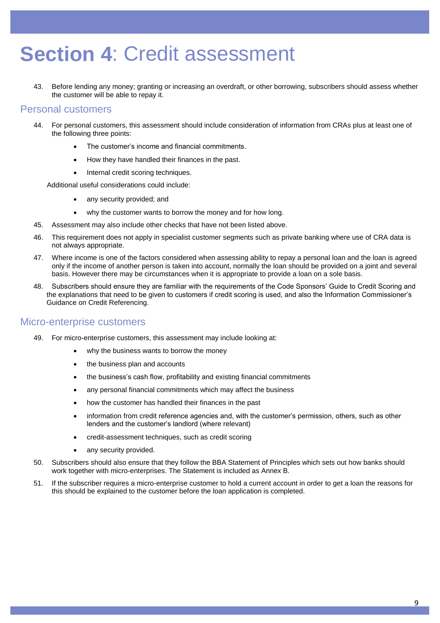# **Section 4**: Credit assessment

43. Before lending any money; granting or increasing an overdraft, or other borrowing, subscribers should assess whether the customer will be able to repay it.

### Personal customers

- 44. For personal customers, this assessment should include consideration of information from CRAs plus at least one of the following three points:
	- The customer's income and financial commitments.
	- How they have handled their finances in the past.
	- Internal credit scoring techniques.

Additional useful considerations could include:

- any security provided; and
- why the customer wants to borrow the money and for how long.
- 45. Assessment may also include other checks that have not been listed above.
- 46. This requirement does not apply in specialist customer segments such as private banking where use of CRA data is not always appropriate.
- 47. Where income is one of the factors considered when assessing ability to repay a personal loan and the loan is agreed only if the income of another person is taken into account, normally the loan should be provided on a joint and several basis. However there may be circumstances when it is appropriate to provide a loan on a sole basis.
- 48. Subscribers should ensure they are familiar with the requirements of the Code Sponsors' Guide to Credit Scoring and the explanations that need to be given to customers if credit scoring is used, and also the Information Commissioner's Guidance on Credit Referencing.

### Micro-enterprise customers

- 49. For micro-enterprise customers, this assessment may include looking at:
	- why the business wants to borrow the money
	- the business plan and accounts
	- the business's cash flow, profitability and existing financial commitments
	- any personal financial commitments which may affect the business
	- how the customer has handled their finances in the past
	- information from credit reference agencies and, with the customer's permission, others, such as other lenders and the customer's landlord (where relevant)
	- credit-assessment techniques, such as credit scoring
	- any security provided.
- 50. Subscribers should also ensure that they follow the BBA Statement of Principles which sets out how banks should work together with micro-enterprises. The Statement is included as Annex B.
- 51. If the subscriber requires a micro-enterprise customer to hold a current account in order to get a loan the reasons for this should be explained to the customer before the loan application is completed.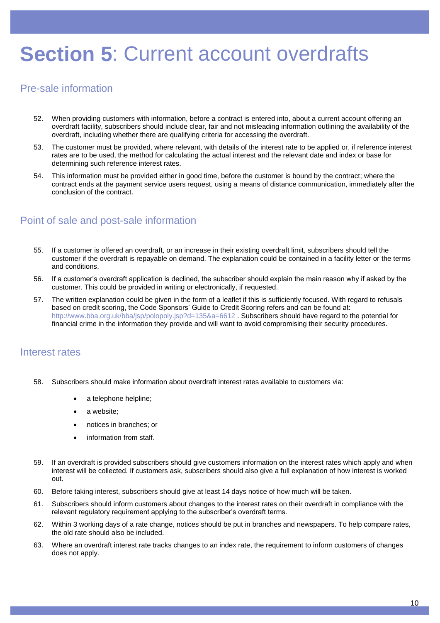# **Section 5: Current account overdrafts**

## Pre-sale information

- 52. When providing customers with information, before a contract is entered into, about a current account offering an overdraft facility, subscribers should include clear, fair and not misleading information outlining the availability of the overdraft, including whether there are qualifying criteria for accessing the overdraft.
- 53. The customer must be provided, where relevant, with details of the interest rate to be applied or, if reference interest rates are to be used, the method for calculating the actual interest and the relevant date and index or base for determining such reference interest rates.
- 54. This information must be provided either in good time, before the customer is bound by the contract; where the contract ends at the payment service users request, using a means of distance communication, immediately after the conclusion of the contract.

## Point of sale and post-sale information

- 55. If a customer is offered an overdraft, or an increase in their existing overdraft limit, subscribers should tell the customer if the overdraft is repayable on demand. The explanation could be contained in a facility letter or the terms and conditions.
- 56. If a customer's overdraft application is declined, the subscriber should explain the main reason why if asked by the customer. This could be provided in writing or electronically, if requested.
- 57. The written explanation could be given in the form of a leaflet if this is sufficiently focused. With regard to refusals based on credit scoring, the Code Sponsors' Guide to Credit Scoring refers and can be found at: <http://www.bba.org.uk/bba/jsp/polopoly.jsp?d=135&a=6612> . Subscribers should have regard to the potential for financial crime in the information they provide and will want to avoid compromising their security procedures.

### Interest rates

- 58. Subscribers should make information about overdraft interest rates available to customers via:
	- a telephone helpline;
	- a website;
	- notices in branches; or
	- information from staff.
- 59. If an overdraft is provided subscribers should give customers information on the interest rates which apply and when interest will be collected. If customers ask, subscribers should also give a full explanation of how interest is worked out.
- 60. Before taking interest, subscribers should give at least 14 days notice of how much will be taken.
- 61. Subscribers should inform customers about changes to the interest rates on their overdraft in compliance with the relevant regulatory requirement applying to the subscriber's overdraft terms.
- 62. Within 3 working days of a rate change, notices should be put in branches and newspapers. To help compare rates, the old rate should also be included.
- 63. Where an overdraft interest rate tracks changes to an index rate, the requirement to inform customers of changes does not apply.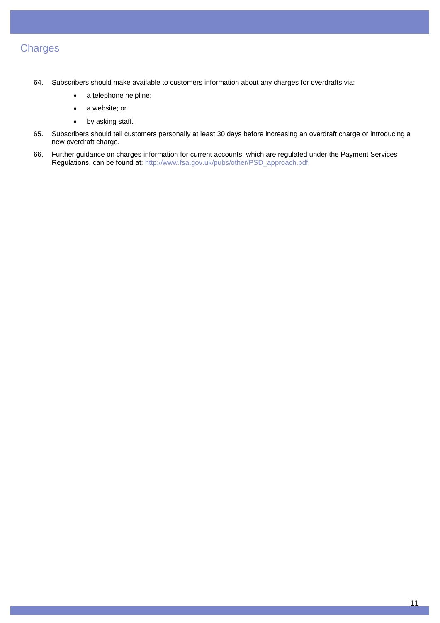# **Charges**

- 64. Subscribers should make available to customers information about any charges for overdrafts via:
	- a telephone helpline;
	- a website; or
	- by asking staff.
- 65. Subscribers should tell customers personally at least 30 days before increasing an overdraft charge or introducing a new overdraft charge.
- 66. Further guidance on charges information for current accounts, which are regulated under the Payment Services Regulations, can be found at: [http://www.fsa.gov.uk/pubs/other/PSD\\_approach.pdf](http://www.fsa.gov.uk/pubs/other/PSD_approach.pdf)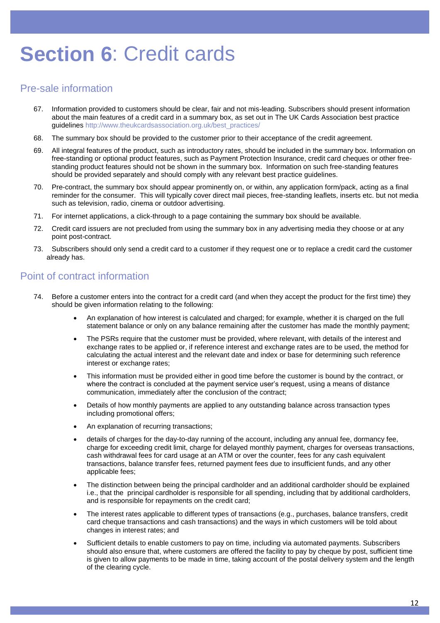# **Section 6**: Credit cards

## Pre-sale information

- 67. Information provided to customers should be clear, fair and not mis-leading. Subscribers should present information about the main features of a credit card in a summary box, as set out in The UK Cards Association best practice guidelines [http://www.theukcardsassociation.org.uk/best\\_practices/](http://www.theukcardsassociation.org.uk/best_practices/)
- 68. The summary box should be provided to the customer prior to their acceptance of the credit agreement.
- 69. All integral features of the product, such as introductory rates, should be included in the summary box. Information on free-standing or optional product features, such as Payment Protection Insurance, credit card cheques or other freestanding product features should not be shown in the summary box. Information on such free-standing features should be provided separately and should comply with any relevant best practice guidelines.
- 70. Pre-contract, the summary box should appear prominently on, or within, any application form/pack, acting as a final reminder for the consumer. This will typically cover direct mail pieces, free-standing leaflets, inserts etc. but not media such as television, radio, cinema or outdoor advertising.
- 71. For internet applications, a click-through to a page containing the summary box should be available.
- 72. Credit card issuers are not precluded from using the summary box in any advertising media they choose or at any point post-contract.
- 73. Subscribers should only send a credit card to a customer if they request one or to replace a credit card the customer already has.

## Point of contract information

- 74. Before a customer enters into the contract for a credit card (and when they accept the product for the first time) they should be given information relating to the following:
	- An explanation of how interest is calculated and charged; for example, whether it is charged on the full statement balance or only on any balance remaining after the customer has made the monthly payment;
	- The PSRs require that the customer must be provided, where relevant, with details of the interest and exchange rates to be applied or, if reference interest and exchange rates are to be used, the method for calculating the actual interest and the relevant date and index or base for determining such reference interest or exchange rates;
	- This information must be provided either in good time before the customer is bound by the contract, or where the contract is concluded at the payment service user's request, using a means of distance communication, immediately after the conclusion of the contract;
	- Details of how monthly payments are applied to any outstanding balance across transaction types including promotional offers;
	- An explanation of recurring transactions;
	- details of charges for the day-to-day running of the account, including any annual fee, dormancy fee, charge for exceeding credit limit, charge for delayed monthly payment, charges for overseas transactions, cash withdrawal fees for card usage at an ATM or over the counter, fees for any cash equivalent transactions, balance transfer fees, returned payment fees due to insufficient funds, and any other applicable fees;
	- The distinction between being the principal cardholder and an additional cardholder should be explained i.e., that the principal cardholder is responsible for all spending, including that by additional cardholders, and is responsible for repayments on the credit card;
	- The interest rates applicable to different types of transactions (e.g., purchases, balance transfers, credit card cheque transactions and cash transactions) and the ways in which customers will be told about changes in interest rates; and
	- Sufficient details to enable customers to pay on time, including via automated payments. Subscribers should also ensure that, where customers are offered the facility to pay by cheque by post, sufficient time is given to allow payments to be made in time, taking account of the postal delivery system and the length of the clearing cycle.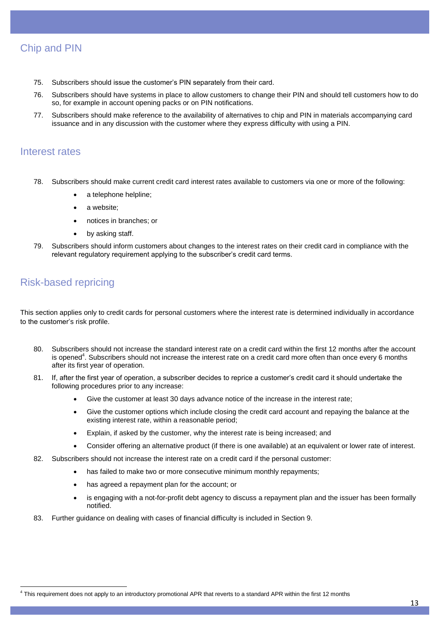

- 75. Subscribers should issue the customer's PIN separately from their card.
- 76. Subscribers should have systems in place to allow customers to change their PIN and should tell customers how to do so, for example in account opening packs or on PIN notifications.
- 77. Subscribers should make reference to the availability of alternatives to chip and PIN in materials accompanying card issuance and in any discussion with the customer where they express difficulty with using a PIN.

### Interest rates

- 78. Subscribers should make current credit card interest rates available to customers via one or more of the following:
	- a telephone helpline;
	- a website;
	- notices in branches; or
	- by asking staff.
- 79. Subscribers should inform customers about changes to the interest rates on their credit card in compliance with the relevant regulatory requirement applying to the subscriber's credit card terms.

### Risk-based repricing

 $\overline{a}$ 

This section applies only to credit cards for personal customers where the interest rate is determined individually in accordance to the customer's risk profile.

- 80. Subscribers should not increase the standard interest rate on a credit card within the first 12 months after the account is opened<sup>4</sup>. Subscribers should not increase the interest rate on a credit card more often than once every 6 months after its first year of operation.
- 81. If, after the first year of operation, a subscriber decides to reprice a customer's credit card it should undertake the following procedures prior to any increase:
	- Give the customer at least 30 days advance notice of the increase in the interest rate;
	- Give the customer options which include closing the credit card account and repaying the balance at the existing interest rate, within a reasonable period;
	- Explain, if asked by the customer, why the interest rate is being increased; and
	- Consider offering an alternative product (if there is one available) at an equivalent or lower rate of interest.
- 82. Subscribers should not increase the interest rate on a credit card if the personal customer:
	- has failed to make two or more consecutive minimum monthly repayments;
	- has agreed a repayment plan for the account; or
	- is engaging with a not-for-profit debt agency to discuss a repayment plan and the issuer has been formally notified.
- 83. Further guidance on dealing with cases of financial difficulty is included in Section 9.

<sup>&</sup>lt;sup>4</sup> This requirement does not apply to an introductory promotional APR that reverts to a standard APR within the first 12 months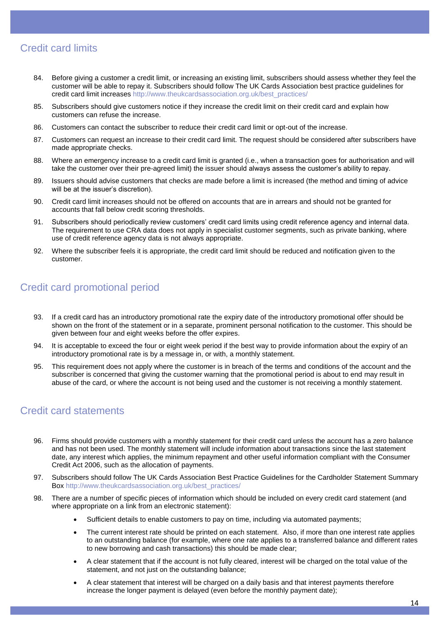## Credit card limits

- 84. Before giving a customer a credit limit, or increasing an existing limit, subscribers should assess whether they feel the customer will be able to repay it. Subscribers should follow The UK Cards Association best practice guidelines for credit card limit increases [http://www.theukcardsassociation.org.uk/best\\_practices/](http://www.theukcardsassociation.org.uk/best_practices/)
- 85. Subscribers should give customers notice if they increase the credit limit on their credit card and explain how customers can refuse the increase.
- 86. Customers can contact the subscriber to reduce their credit card limit or opt-out of the increase.
- 87. Customers can request an increase to their credit card limit. The request should be considered after subscribers have made appropriate checks.
- 88. Where an emergency increase to a credit card limit is granted (i.e., when a transaction goes for authorisation and will take the customer over their pre-agreed limit) the issuer should always assess the customer's ability to repay.
- 89. Issuers should advise customers that checks are made before a limit is increased (the method and timing of advice will be at the issuer's discretion).
- 90. Credit card limit increases should not be offered on accounts that are in arrears and should not be granted for accounts that fall below credit scoring thresholds.
- 91. Subscribers should periodically review customers' credit card limits using credit reference agency and internal data. The requirement to use CRA data does not apply in specialist customer segments, such as private banking, where use of credit reference agency data is not always appropriate.
- 92. Where the subscriber feels it is appropriate, the credit card limit should be reduced and notification given to the customer.

## Credit card promotional period

- 93. If a credit card has an introductory promotional rate the expiry date of the introductory promotional offer should be shown on the front of the statement or in a separate, prominent personal notification to the customer. This should be given between four and eight weeks before the offer expires.
- 94. It is acceptable to exceed the four or eight week period if the best way to provide information about the expiry of an introductory promotional rate is by a message in, or with, a monthly statement.
- 95. This requirement does not apply where the customer is in breach of the terms and conditions of the account and the subscriber is concerned that giving the customer warning that the promotional period is about to end may result in abuse of the card, or where the account is not being used and the customer is not receiving a monthly statement.

# Credit card statements

- 96. Firms should provide customers with a monthly statement for their credit card unless the account has a zero balance and has not been used. The monthly statement will include information about transactions since the last statement date, any interest which applies, the minimum repayment and other useful information compliant with the Consumer Credit Act 2006, such as the allocation of payments.
- 97. Subscribers should follow The UK Cards Association Best Practice Guidelines for the Cardholder Statement Summary Box [http://www.theukcardsassociation.org.uk/best\\_practices/](http://www.theukcardsassociation.org.uk/best_practices/)
- 98. There are a number of specific pieces of information which should be included on every credit card statement (and where appropriate on a link from an electronic statement):
	- Sufficient details to enable customers to pay on time, including via automated payments;
	- The current interest rate should be printed on each statement. Also, if more than one interest rate applies to an outstanding balance (for example, where one rate applies to a transferred balance and different rates to new borrowing and cash transactions) this should be made clear;
	- A clear statement that if the account is not fully cleared, interest will be charged on the total value of the statement, and not just on the outstanding balance;
	- A clear statement that interest will be charged on a daily basis and that interest payments therefore increase the longer payment is delayed (even before the monthly payment date);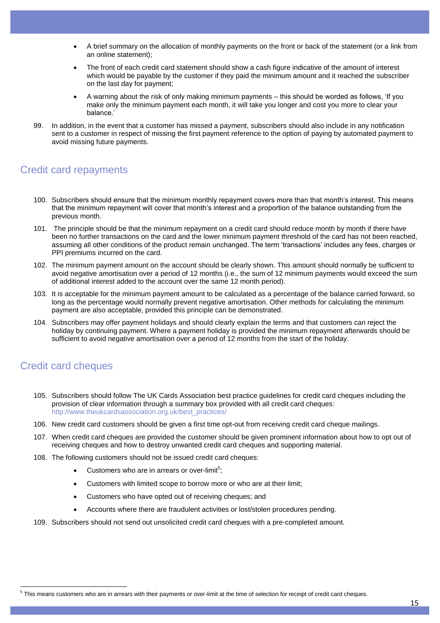- A brief summary on the allocation of monthly payments on the front or back of the statement (or a link from an online statement);
- The front of each credit card statement should show a cash figure indicative of the amount of interest which would be payable by the customer if they paid the minimum amount and it reached the subscriber on the last day for payment;
- A warning about the risk of only making minimum payments this should be worded as follows, 'If you make only the minimum payment each month, it will take you longer and cost you more to clear your balance.'
- 99. In addition, in the event that a customer has missed a payment, subscribers should also include in any notification sent to a customer in respect of missing the first payment reference to the option of paying by automated payment to avoid missing future payments.

## Credit card repayments

- 100. Subscribers should ensure that the minimum monthly repayment covers more than that month's interest. This means that the minimum repayment will cover that month's interest and a proportion of the balance outstanding from the previous month.
- 101. The principle should be that the minimum repayment on a credit card should reduce month by month if there have been no further transactions on the card and the lower minimum payment threshold of the card has not been reached, assuming all other conditions of the product remain unchanged. The term 'transactions' includes any fees, charges or PPI premiums incurred on the card.
- 102. The minimum payment amount on the account should be clearly shown. This amount should normally be sufficient to avoid negative amortisation over a period of 12 months (i.e., the sum of 12 minimum payments would exceed the sum of additional interest added to the account over the same 12 month period).
- 103. It is acceptable for the minimum payment amount to be calculated as a percentage of the balance carried forward, so long as the percentage would normally prevent negative amortisation. Other methods for calculating the minimum payment are also acceptable, provided this principle can be demonstrated.
- 104. Subscribers may offer payment holidays and should clearly explain the terms and that customers can reject the holiday by continuing payment. Where a payment holiday is provided the minimum repayment afterwards should be sufficient to avoid negative amortisation over a period of 12 months from the start of the holiday.

## Credit card cheques

- 105. Subscribers should follow The UK Cards Association best practice guidelines for credit card cheques including the provision of clear information through a summary box provided with all credit card cheques: [http://www.theukcardsassociation.org.uk/best\\_practices/](http://www.theukcardsassociation.org.uk/best_practices/)
- 106. New credit card customers should be given a first time opt-out from receiving credit card cheque mailings.
- 107. When credit card cheques are provided the customer should be given prominent information about how to opt out of receiving cheques and how to destroy unwanted credit card cheques and supporting material.
- 108. The following customers should not be issued credit card cheques:
	- $\bullet$  Customers who are in arrears or over-limit<sup>5</sup>;
	- Customers with limited scope to borrow more or who are at their limit;
	- Customers who have opted out of receiving cheques; and
	- Accounts where there are fraudulent activities or lost/stolen procedures pending.
- 109. Subscribers should not send out unsolicited credit card cheques with a pre-completed amount.

 $\overline{a}$  $5$  This means customers who are in arrears with their payments or over-limit at the time of selection for receipt of credit card cheques.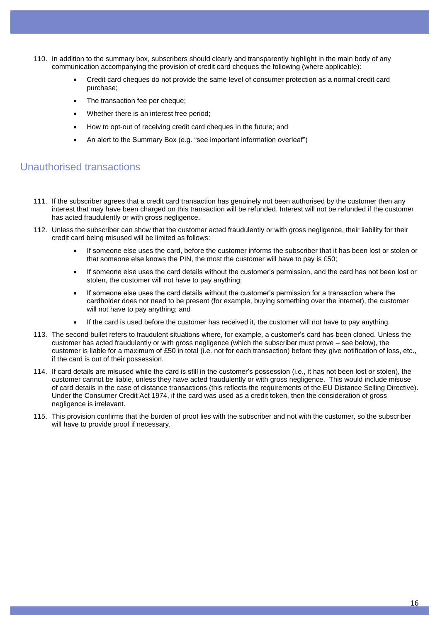- 110. In addition to the summary box, subscribers should clearly and transparently highlight in the main body of any communication accompanying the provision of credit card cheques the following (where applicable):
	- Credit card cheques do not provide the same level of consumer protection as a normal credit card purchase;
	- The transaction fee per cheque;
	- Whether there is an interest free period;
	- How to opt-out of receiving credit card cheques in the future; and
	- An alert to the Summary Box (e.g. "see important information overleaf")

### Unauthorised transactions

- 111. If the subscriber agrees that a credit card transaction has genuinely not been authorised by the customer then any interest that may have been charged on this transaction will be refunded. Interest will not be refunded if the customer has acted fraudulently or with gross negligence.
- 112. Unless the subscriber can show that the customer acted fraudulently or with gross negligence, their liability for their credit card being misused will be limited as follows:
	- If someone else uses the card, before the customer informs the subscriber that it has been lost or stolen or that someone else knows the PIN, the most the customer will have to pay is £50;
	- If someone else uses the card details without the customer's permission, and the card has not been lost or stolen, the customer will not have to pay anything;
	- If someone else uses the card details without the customer's permission for a transaction where the cardholder does not need to be present (for example, buying something over the internet), the customer will not have to pay anything; and
	- If the card is used before the customer has received it, the customer will not have to pay anything.
- 113. The second bullet refers to fraudulent situations where, for example, a customer's card has been cloned. Unless the customer has acted fraudulently or with gross negligence (which the subscriber must prove – see below), the customer is liable for a maximum of £50 in total (i.e. not for each transaction) before they give notification of loss, etc., if the card is out of their possession.
- 114. If card details are misused while the card is still in the customer's possession (i.e., it has not been lost or stolen), the customer cannot be liable, unless they have acted fraudulently or with gross negligence. This would include misuse of card details in the case of distance transactions (this reflects the requirements of the EU Distance Selling Directive). Under the Consumer Credit Act 1974, if the card was used as a credit token, then the consideration of gross negligence is irrelevant.
- 115. This provision confirms that the burden of proof lies with the subscriber and not with the customer, so the subscriber will have to provide proof if necessary.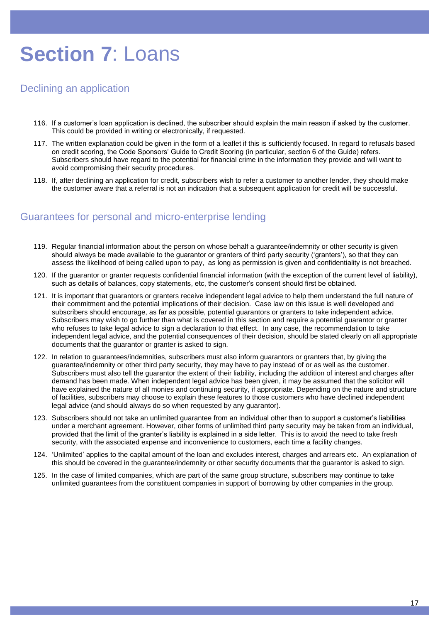# **Section 7**: Loans

## Declining an application

- 116. If a customer's loan application is declined, the subscriber should explain the main reason if asked by the customer. This could be provided in writing or electronically, if requested.
- 117. The written explanation could be given in the form of a leaflet if this is sufficiently focused. In regard to refusals based on credit scoring, the Code Sponsors' Guide to Credit Scoring (in particular, section 6 of the Guide) refers. Subscribers should have regard to the potential for financial crime in the information they provide and will want to avoid compromising their security procedures.
- 118. If, after declining an application for credit, subscribers wish to refer a customer to another lender, they should make the customer aware that a referral is not an indication that a subsequent application for credit will be successful.

## Guarantees for personal and micro-enterprise lending

- 119. Regular financial information about the person on whose behalf a guarantee/indemnity or other security is given should always be made available to the guarantor or granters of third party security ('granters'), so that they can assess the likelihood of being called upon to pay, as long as permission is given and confidentiality is not breached.
- 120. If the guarantor or granter requests confidential financial information (with the exception of the current level of liability), such as details of balances, copy statements, etc, the customer's consent should first be obtained.
- 121. It is important that guarantors or granters receive independent legal advice to help them understand the full nature of their commitment and the potential implications of their decision. Case law on this issue is well developed and subscribers should encourage, as far as possible, potential guarantors or granters to take independent advice. Subscribers may wish to go further than what is covered in this section and require a potential guarantor or granter who refuses to take legal advice to sign a declaration to that effect. In any case, the recommendation to take independent legal advice, and the potential consequences of their decision, should be stated clearly on all appropriate documents that the guarantor or granter is asked to sign.
- 122. In relation to guarantees/indemnities, subscribers must also inform guarantors or granters that, by giving the guarantee/indemnity or other third party security, they may have to pay instead of or as well as the customer. Subscribers must also tell the guarantor the extent of their liability, including the addition of interest and charges after demand has been made. When independent legal advice has been given, it may be assumed that the solicitor will have explained the nature of all monies and continuing security, if appropriate. Depending on the nature and structure of facilities, subscribers may choose to explain these features to those customers who have declined independent legal advice (and should always do so when requested by any guarantor).
- 123. Subscribers should not take an unlimited guarantee from an individual other than to support a customer's liabilities under a merchant agreement. However, other forms of unlimited third party security may be taken from an individual, provided that the limit of the granter's liability is explained in a side letter. This is to avoid the need to take fresh security, with the associated expense and inconvenience to customers, each time a facility changes.
- 124. 'Unlimited' applies to the capital amount of the loan and excludes interest, charges and arrears etc. An explanation of this should be covered in the guarantee/indemnity or other security documents that the guarantor is asked to sign.
- 125. In the case of limited companies, which are part of the same group structure, subscribers may continue to take unlimited guarantees from the constituent companies in support of borrowing by other companies in the group.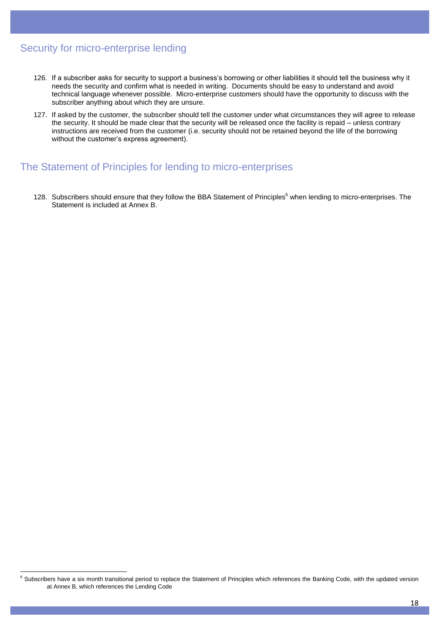## Security for micro-enterprise lending

 $\overline{a}$ 

- 126. If a subscriber asks for security to support a business's borrowing or other liabilities it should tell the business why it needs the security and confirm what is needed in writing. Documents should be easy to understand and avoid technical language whenever possible. Micro-enterprise customers should have the opportunity to discuss with the subscriber anything about which they are unsure.
- 127. If asked by the customer, the subscriber should tell the customer under what circumstances they will agree to release the security. It should be made clear that the security will be released once the facility is repaid – unless contrary instructions are received from the customer (i.e. security should not be retained beyond the life of the borrowing without the customer's express agreement).

## The Statement of Principles for lending to micro-enterprises

128. Subscribers should ensure that they follow the BBA Statement of Principles<sup>6</sup> when lending to micro-enterprises. The Statement is included at Annex B.

 $<sup>6</sup>$  Subscribers have a six month transitional period to replace the Statement of Principles which references the Banking Code, with the updated version</sup> at Annex B, which references the Lending Code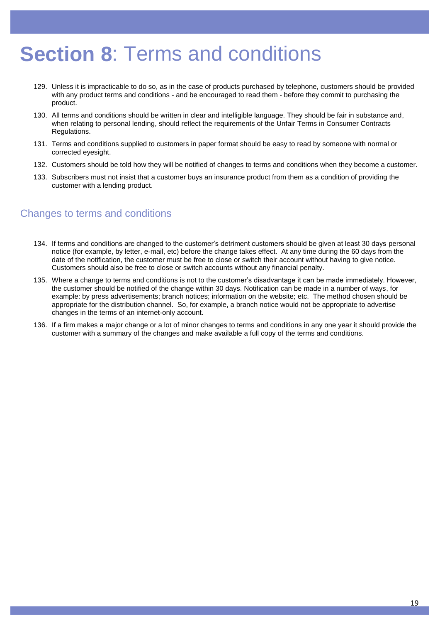# **Section 8**: Terms and conditions

- 129. Unless it is impracticable to do so, as in the case of products purchased by telephone, customers should be provided with any product terms and conditions - and be encouraged to read them - before they commit to purchasing the product.
- 130. All terms and conditions should be written in clear and intelligible language. They should be fair in substance and, when relating to personal lending, should reflect the requirements of the Unfair Terms in Consumer Contracts Regulations.
- 131. Terms and conditions supplied to customers in paper format should be easy to read by someone with normal or corrected eyesight.
- 132. Customers should be told how they will be notified of changes to terms and conditions when they become a customer.
- 133. Subscribers must not insist that a customer buys an insurance product from them as a condition of providing the customer with a lending product.

## Changes to terms and conditions

- 134. If terms and conditions are changed to the customer's detriment customers should be given at least 30 days personal notice (for example, by letter, e-mail, etc) before the change takes effect. At any time during the 60 days from the date of the notification, the customer must be free to close or switch their account without having to give notice. Customers should also be free to close or switch accounts without any financial penalty.
- 135. Where a change to terms and conditions is not to the customer's disadvantage it can be made immediately. However, the customer should be notified of the change within 30 days. Notification can be made in a number of ways, for example: by press advertisements; branch notices; information on the website; etc. The method chosen should be appropriate for the distribution channel. So, for example, a branch notice would not be appropriate to advertise changes in the terms of an internet-only account.
- 136. If a firm makes a major change or a lot of minor changes to terms and conditions in any one year it should provide the customer with a summary of the changes and make available a full copy of the terms and conditions.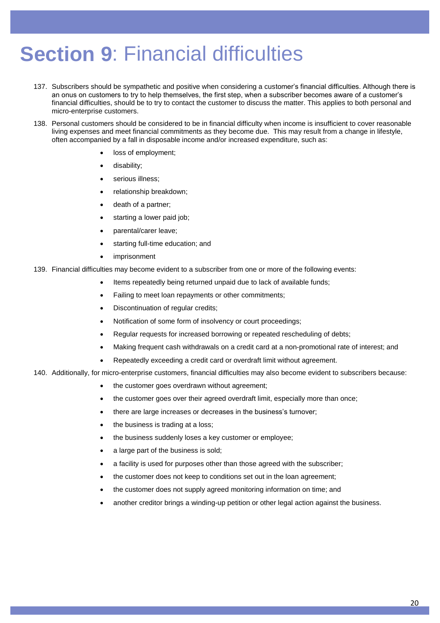# **Section 9**: Financial difficulties

- 137. Subscribers should be sympathetic and positive when considering a customer's financial difficulties. Although there is an onus on customers to try to help themselves, the first step, when a subscriber becomes aware of a customer's financial difficulties, should be to try to contact the customer to discuss the matter. This applies to both personal and micro-enterprise customers.
- 138. Personal customers should be considered to be in financial difficulty when income is insufficient to cover reasonable living expenses and meet financial commitments as they become due. This may result from a change in lifestyle, often accompanied by a fall in disposable income and/or increased expenditure, such as:
	- loss of employment;
	- disability;
	- serious illness;
	- relationship breakdown;
	- death of a partner;
	- starting a lower paid job;
	- parental/carer leave;
	- starting full-time education; and
	- imprisonment
- 139. Financial difficulties may become evident to a subscriber from one or more of the following events:
	- Items repeatedly being returned unpaid due to lack of available funds;
	- Failing to meet loan repayments or other commitments;
	- Discontinuation of regular credits;
	- Notification of some form of insolvency or court proceedings;
	- Regular requests for increased borrowing or repeated rescheduling of debts;
	- Making frequent cash withdrawals on a credit card at a non-promotional rate of interest; and
	- Repeatedly exceeding a credit card or overdraft limit without agreement.
- 140. Additionally, for micro-enterprise customers, financial difficulties may also become evident to subscribers because:
	- the customer goes overdrawn without agreement;
	- the customer goes over their agreed overdraft limit, especially more than once;
	- there are large increases or decreases in the business's turnover;
	- the business is trading at a loss;
	- the business suddenly loses a key customer or employee;
	- a large part of the business is sold;
	- a facility is used for purposes other than those agreed with the subscriber;
	- the customer does not keep to conditions set out in the loan agreement;
	- the customer does not supply agreed monitoring information on time; and
	- another creditor brings a winding-up petition or other legal action against the business.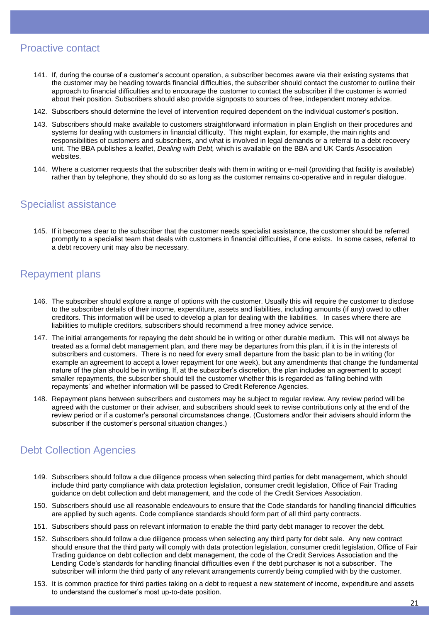- 141. If, during the course of a customer's account operation, a subscriber becomes aware via their existing systems that the customer may be heading towards financial difficulties, the subscriber should contact the customer to outline their approach to financial difficulties and to encourage the customer to contact the subscriber if the customer is worried about their position. Subscribers should also provide signposts to sources of free, independent money advice.
- 142. Subscribers should determine the level of intervention required dependent on the individual customer's position.
- 143. Subscribers should make available to customers straightforward information in plain English on their procedures and systems for dealing with customers in financial difficulty. This might explain, for example, the main rights and responsibilities of customers and subscribers, and what is involved in legal demands or a referral to a debt recovery unit. The BBA publishes a leaflet, *Dealing with Debt,* which is available on the BBA and UK Cards Association websites.
- 144. Where a customer requests that the subscriber deals with them in writing or e-mail (providing that facility is available) rather than by telephone, they should do so as long as the customer remains co-operative and in regular dialogue.

## Specialist assistance

145. If it becomes clear to the subscriber that the customer needs specialist assistance, the customer should be referred promptly to a specialist team that deals with customers in financial difficulties, if one exists. In some cases, referral to a debt recovery unit may also be necessary.

# Repayment plans

- 146. The subscriber should explore a range of options with the customer. Usually this will require the customer to disclose to the subscriber details of their income, expenditure, assets and liabilities, including amounts (if any) owed to other creditors. This information will be used to develop a plan for dealing with the liabilities. In cases where there are liabilities to multiple creditors, subscribers should recommend a free money advice service.
- 147. The initial arrangements for repaying the debt should be in writing or other durable medium. This will not always be treated as a formal debt management plan, and there may be departures from this plan, if it is in the interests of subscribers and customers. There is no need for every small departure from the basic plan to be in writing (for example an agreement to accept a lower repayment for one week), but any amendments that change the fundamental nature of the plan should be in writing. If, at the subscriber's discretion, the plan includes an agreement to accept smaller repayments, the subscriber should tell the customer whether this is regarded as 'falling behind with repayments' and whether information will be passed to Credit Reference Agencies.
- 148. Repayment plans between subscribers and customers may be subject to regular review. Any review period will be agreed with the customer or their adviser, and subscribers should seek to revise contributions only at the end of the review period or if a customer's personal circumstances change. (Customers and/or their advisers should inform the subscriber if the customer's personal situation changes.)

# Debt Collection Agencies

- 149. Subscribers should follow a due diligence process when selecting third parties for debt management, which should include third party compliance with data protection legislation, consumer credit legislation, Office of Fair Trading guidance on debt collection and debt management, and the code of the Credit Services Association.
- 150. Subscribers should use all reasonable endeavours to ensure that the Code standards for handling financial difficulties are applied by such agents. Code compliance standards should form part of all third party contracts.
- 151. Subscribers should pass on relevant information to enable the third party debt manager to recover the debt.
- 152. Subscribers should follow a due diligence process when selecting any third party for debt sale. Any new contract should ensure that the third party will comply with data protection legislation, consumer credit legislation, Office of Fair Trading guidance on debt collection and debt management, the code of the Credit Services Association and the Lending Code's standards for handling financial difficulties even if the debt purchaser is not a subscriber. The subscriber will inform the third party of any relevant arrangements currently being complied with by the customer.
- 153. It is common practice for third parties taking on a debt to request a new statement of income, expenditure and assets to understand the customer's most up-to-date position.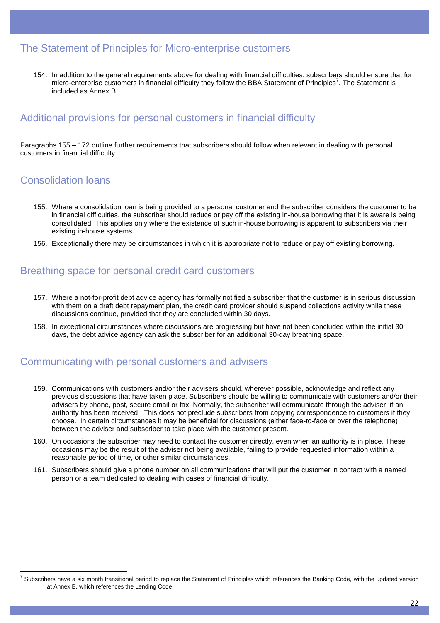## The Statement of Principles for Micro-enterprise customers

154. In addition to the general requirements above for dealing with financial difficulties, subscribers should ensure that for micro-enterprise customers in financial difficulty they follow the BBA Statement of Principles<sup>7</sup>. The Statement is included as Annex B.

## Additional provisions for personal customers in financial difficulty

Paragraphs 155 – 172 outline further requirements that subscribers should follow when relevant in dealing with personal customers in financial difficulty.

## Consolidation loans

- 155. Where a consolidation loan is being provided to a personal customer and the subscriber considers the customer to be in financial difficulties, the subscriber should reduce or pay off the existing in-house borrowing that it is aware is being consolidated. This applies only where the existence of such in-house borrowing is apparent to subscribers via their existing in-house systems.
- 156. Exceptionally there may be circumstances in which it is appropriate not to reduce or pay off existing borrowing.

## Breathing space for personal credit card customers

- 157. Where a not-for-profit debt advice agency has formally notified a subscriber that the customer is in serious discussion with them on a draft debt repayment plan, the credit card provider should suspend collections activity while these discussions continue, provided that they are concluded within 30 days.
- 158. In exceptional circumstances where discussions are progressing but have not been concluded within the initial 30 days, the debt advice agency can ask the subscriber for an additional 30-day breathing space.

### Communicating with personal customers and advisers

- 159. Communications with customers and/or their advisers should, wherever possible, acknowledge and reflect any previous discussions that have taken place. Subscribers should be willing to communicate with customers and/or their advisers by phone, post, secure email or fax. Normally, the subscriber will communicate through the adviser, if an authority has been received. This does not preclude subscribers from copying correspondence to customers if they choose. In certain circumstances it may be beneficial for discussions (either face-to-face or over the telephone) between the adviser and subscriber to take place with the customer present.
- 160. On occasions the subscriber may need to contact the customer directly, even when an authority is in place. These occasions may be the result of the adviser not being available, failing to provide requested information within a reasonable period of time, or other similar circumstances.
- 161. Subscribers should give a phone number on all communications that will put the customer in contact with a named person or a team dedicated to dealing with cases of financial difficulty.

 $\overline{a}$ <sup>7</sup> Subscribers have a six month transitional period to replace the Statement of Principles which references the Banking Code, with the updated version at Annex B, which references the Lending Code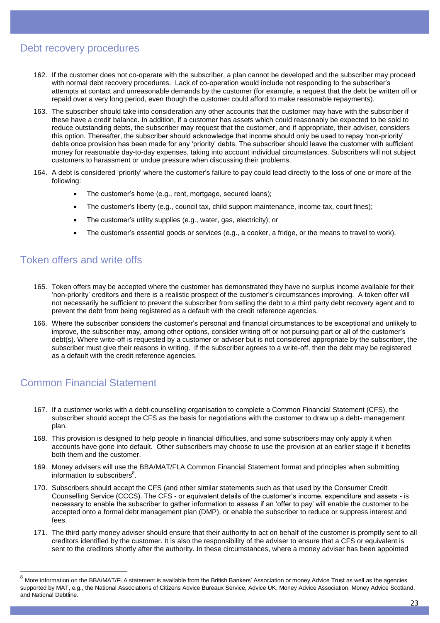### Debt recovery procedures

- 162. If the customer does not co-operate with the subscriber, a plan cannot be developed and the subscriber may proceed with normal debt recovery procedures. Lack of co-operation would include not responding to the subscriber's attempts at contact and unreasonable demands by the customer (for example, a request that the debt be written off or repaid over a very long period, even though the customer could afford to make reasonable repayments).
- 163. The subscriber should take into consideration any other accounts that the customer may have with the subscriber if these have a credit balance. In addition, if a customer has assets which could reasonably be expected to be sold to reduce outstanding debts, the subscriber may request that the customer, and if appropriate, their adviser, considers this option. Thereafter, the subscriber should acknowledge that income should only be used to repay 'non-priority' debts once provision has been made for any 'priority' debts. The subscriber should leave the customer with sufficient money for reasonable day-to-day expenses, taking into account individual circumstances. Subscribers will not subject customers to harassment or undue pressure when discussing their problems.
- 164. A debt is considered 'priority' where the customer's failure to pay could lead directly to the loss of one or more of the following:
	- The customer's home (e.g., rent, mortgage, secured loans);
	- The customer's liberty (e.g., council tax, child support maintenance, income tax, court fines);
	- The customer's utility supplies (e.g., water, gas, electricity); or
	- The customer's essential goods or services (e.g., a cooker, a fridge, or the means to travel to work).

## Token offers and write offs

- 165. Token offers may be accepted where the customer has demonstrated they have no surplus income available for their 'non-priority' creditors and there is a realistic prospect of the customer's circumstances improving. A token offer will not necessarily be sufficient to prevent the subscriber from selling the debt to a third party debt recovery agent and to prevent the debt from being registered as a default with the credit reference agencies.
- 166. Where the subscriber considers the customer's personal and financial circumstances to be exceptional and unlikely to improve, the subscriber may, among other options, consider writing off or not pursuing part or all of the customer's debt(s). Where write-off is requested by a customer or adviser but is not considered appropriate by the subscriber, the subscriber must give their reasons in writing. If the subscriber agrees to a write-off, then the debt may be registered as a default with the credit reference agencies.

# Common Financial Statement

 $\overline{a}$ 

- 167. If a customer works with a debt-counselling organisation to complete a Common Financial Statement (CFS), the subscriber should accept the CFS as the basis for negotiations with the customer to draw up a debt- management plan.
- 168. This provision is designed to help people in financial difficulties, and some subscribers may only apply it when accounts have gone into default. Other subscribers may choose to use the provision at an earlier stage if it benefits both them and the customer.
- 169. Money advisers will use the BBA/MAT/FLA Common Financial Statement format and principles when submitting information to subscribers<sup>8</sup>.
- 170. Subscribers should accept the CFS (and other similar statements such as that used by the Consumer Credit Counselling Service (CCCS). The CFS - or equivalent details of the customer's income, expenditure and assets - is necessary to enable the subscriber to gather information to assess if an 'offer to pay' will enable the customer to be accepted onto a formal debt management plan (DMP), or enable the subscriber to reduce or suppress interest and fees.
- 171. The third party money adviser should ensure that their authority to act on behalf of the customer is promptly sent to all creditors identified by the customer. It is also the responsibility of the adviser to ensure that a CFS or equivalent is sent to the creditors shortly after the authority. In these circumstances, where a money adviser has been appointed

 $^8$  More information on the BBA/MAT/FLA statement is available from the British Bankers' Association or money Advice Trust as well as the agencies supported by MAT, e.g., the National Associations of Citizens Advice Bureaux Service, Advice UK, Money Advice Association, Money Advice Scotland, and National Debtline.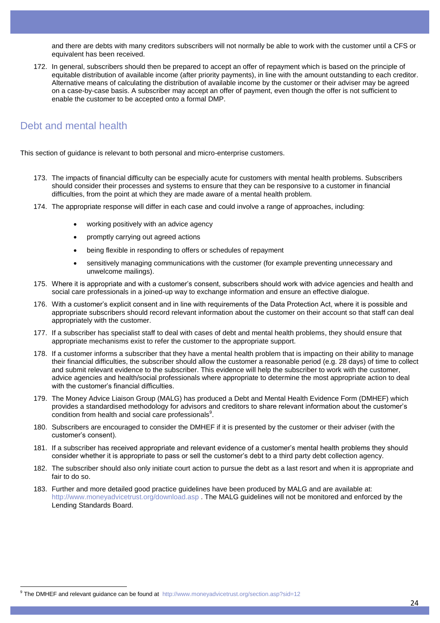and there are debts with many creditors subscribers will not normally be able to work with the customer until a CFS or equivalent has been received.

172. In general, subscribers should then be prepared to accept an offer of repayment which is based on the principle of equitable distribution of available income (after priority payments), in line with the amount outstanding to each creditor. Alternative means of calculating the distribution of available income by the customer or their adviser may be agreed on a case-by-case basis. A subscriber may accept an offer of payment, even though the offer is not sufficient to enable the customer to be accepted onto a formal DMP.

# Debt and mental health

This section of guidance is relevant to both personal and micro-enterprise customers.

- 173. The impacts of financial difficulty can be especially acute for customers with mental health problems. Subscribers should consider their processes and systems to ensure that they can be responsive to a customer in financial difficulties, from the point at which they are made aware of a mental health problem.
- 174. The appropriate response will differ in each case and could involve a range of approaches, including:
	- working positively with an advice agency
	- promptly carrying out agreed actions
	- being flexible in responding to offers or schedules of repayment
	- sensitively managing communications with the customer (for example preventing unnecessary and unwelcome mailings).
- 175. Where it is appropriate and with a customer's consent, subscribers should work with advice agencies and health and social care professionals in a joined-up way to exchange information and ensure an effective dialogue.
- 176. With a customer's explicit consent and in line with requirements of the Data Protection Act, where it is possible and appropriate subscribers should record relevant information about the customer on their account so that staff can deal appropriately with the customer.
- 177. If a subscriber has specialist staff to deal with cases of debt and mental health problems, they should ensure that appropriate mechanisms exist to refer the customer to the appropriate support.
- 178. If a customer informs a subscriber that they have a mental health problem that is impacting on their ability to manage their financial difficulties, the subscriber should allow the customer a reasonable period (e.g. 28 days) of time to collect and submit relevant evidence to the subscriber. This evidence will help the subscriber to work with the customer, advice agencies and health/social professionals where appropriate to determine the most appropriate action to deal with the customer's financial difficulties.
- 179. The Money Advice Liaison Group (MALG) has produced a Debt and Mental Health Evidence Form (DMHEF) which provides a standardised methodology for advisors and creditors to share relevant information about the customer's condition from health and social care professionals<sup>9</sup>.
- 180. Subscribers are encouraged to consider the DMHEF if it is presented by the customer or their adviser (with the customer's consent).
- 181. If a subscriber has received appropriate and relevant evidence of a customer's mental health problems they should consider whether it is appropriate to pass or sell the customer's debt to a third party debt collection agency.
- 182. The subscriber should also only initiate court action to pursue the debt as a last resort and when it is appropriate and fair to do so.
- 183. Further and more detailed good practice guidelines have been produced by MALG and are available at: <http://www.moneyadvicetrust.org/download.asp> . The MALG guidelines will not be monitored and enforced by the Lending Standards Board.

 $\overline{a}$ 

<sup>&</sup>lt;sup>9</sup> The DMHEF and relevant guidance can be found at<http://www.moneyadvicetrust.org/section.asp?sid=12>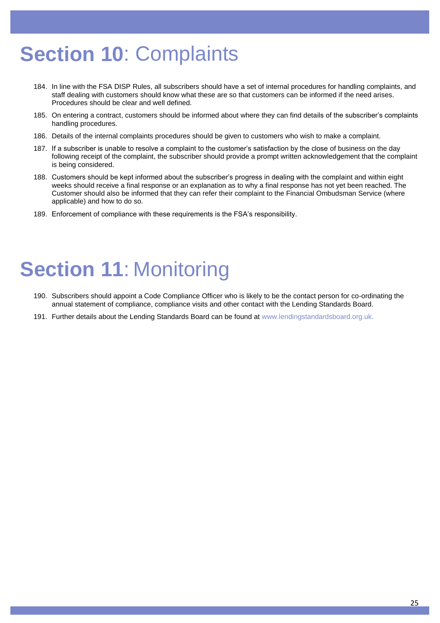# **Section 10**: Complaints

- 184. In line with the FSA DISP Rules, all subscribers should have a set of internal procedures for handling complaints, and staff dealing with customers should know what these are so that customers can be informed if the need arises. Procedures should be clear and well defined.
- 185. On entering a contract, customers should be informed about where they can find details of the subscriber's complaints handling procedures.
- 186. Details of the internal complaints procedures should be given to customers who wish to make a complaint.
- 187. If a subscriber is unable to resolve a complaint to the customer's satisfaction by the close of business on the day following receipt of the complaint, the subscriber should provide a prompt written acknowledgement that the complaint is being considered.
- 188. Customers should be kept informed about the subscriber's progress in dealing with the complaint and within eight weeks should receive a final response or an explanation as to why a final response has not yet been reached. The Customer should also be informed that they can refer their complaint to the Financial Ombudsman Service (where applicable) and how to do so.
- 189. Enforcement of compliance with these requirements is the FSA's responsibility.

# **Section 11**: Monitoring

- 190. Subscribers should appoint a Code Compliance Officer who is likely to be the contact person for co-ordinating the annual statement of compliance, compliance visits and other contact with the Lending Standards Board.
- 191. Further details about the Lending Standards Board can be found at [www.lendingstandardsboard.org.uk.](http://www.lendingstandardsboard.org.uk/)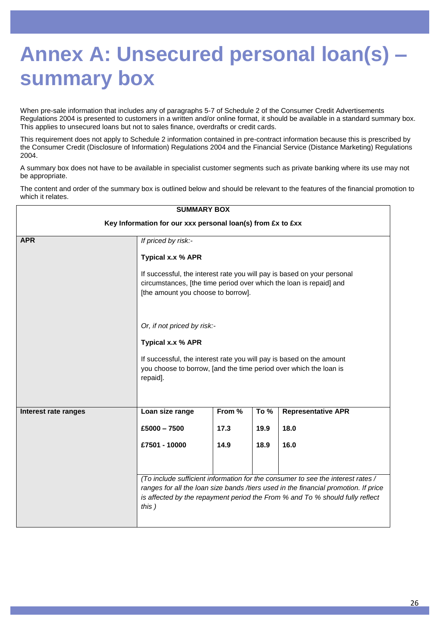# **Annex A: Unsecured personal loan(s) – summary box**

When pre-sale information that includes any of paragraphs 5-7 of Schedule 2 of the Consumer Credit Advertisements Regulations 2004 is presented to customers in a written and/or online format, it should be available in a standard summary box. This applies to unsecured loans but not to sales finance, overdrafts or credit cards.

This requirement does not apply to Schedule 2 information contained in pre-contract information because this is prescribed by the Consumer Credit (Disclosure of Information) Regulations 2004 and the Financial Service (Distance Marketing) Regulations 2004.

A summary box does not have to be available in specialist customer segments such as private banking where its use may not be appropriate.

The content and order of the summary box is outlined below and should be relevant to the features of the financial promotion to which it relates.

| <b>SUMMARY BOX</b>                                          |                                                                                                                                                                                     |                                                                                                                                                                                                                                                        |      |                           |  |  |  |  |  |
|-------------------------------------------------------------|-------------------------------------------------------------------------------------------------------------------------------------------------------------------------------------|--------------------------------------------------------------------------------------------------------------------------------------------------------------------------------------------------------------------------------------------------------|------|---------------------------|--|--|--|--|--|
| Key Information for our xxx personal loan(s) from £x to £xx |                                                                                                                                                                                     |                                                                                                                                                                                                                                                        |      |                           |  |  |  |  |  |
| <b>APR</b>                                                  | If priced by risk:-                                                                                                                                                                 |                                                                                                                                                                                                                                                        |      |                           |  |  |  |  |  |
|                                                             | Typical x.x % APR                                                                                                                                                                   |                                                                                                                                                                                                                                                        |      |                           |  |  |  |  |  |
|                                                             | If successful, the interest rate you will pay is based on your personal<br>circumstances, [the time period over which the loan is repaid] and<br>[the amount you choose to borrow]. |                                                                                                                                                                                                                                                        |      |                           |  |  |  |  |  |
|                                                             | Or, if not priced by risk:-                                                                                                                                                         |                                                                                                                                                                                                                                                        |      |                           |  |  |  |  |  |
|                                                             | Typical x.x % APR                                                                                                                                                                   |                                                                                                                                                                                                                                                        |      |                           |  |  |  |  |  |
|                                                             | If successful, the interest rate you will pay is based on the amount<br>you choose to borrow, [and the time period over which the loan is<br>repaid].                               |                                                                                                                                                                                                                                                        |      |                           |  |  |  |  |  |
| Interest rate ranges                                        | Loan size range                                                                                                                                                                     | From %                                                                                                                                                                                                                                                 | To % | <b>Representative APR</b> |  |  |  |  |  |
|                                                             | $£5000 - 7500$                                                                                                                                                                      | 17.3                                                                                                                                                                                                                                                   | 19.9 | 18.0                      |  |  |  |  |  |
|                                                             | £7501 - 10000                                                                                                                                                                       | 14.9                                                                                                                                                                                                                                                   | 18.9 | 16.0                      |  |  |  |  |  |
|                                                             |                                                                                                                                                                                     |                                                                                                                                                                                                                                                        |      |                           |  |  |  |  |  |
|                                                             | this)                                                                                                                                                                               | (To include sufficient information for the consumer to see the interest rates /<br>ranges for all the loan size bands /tiers used in the financial promotion. If price<br>is affected by the repayment period the From % and To % should fully reflect |      |                           |  |  |  |  |  |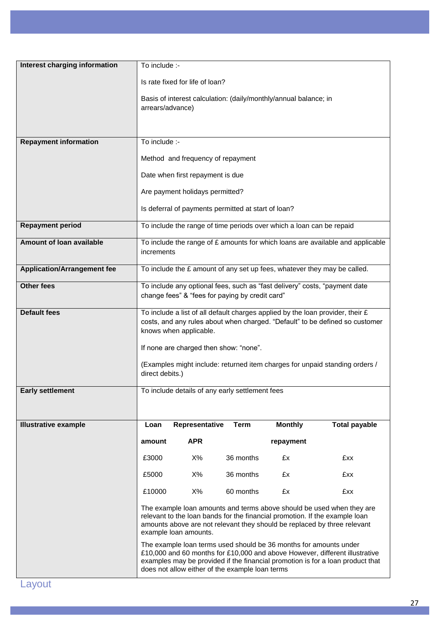| Interest charging information      | To include :-                                                                                                                                                                                                                                                                         |                |             |                |                      |  |  |
|------------------------------------|---------------------------------------------------------------------------------------------------------------------------------------------------------------------------------------------------------------------------------------------------------------------------------------|----------------|-------------|----------------|----------------------|--|--|
|                                    | Is rate fixed for life of loan?                                                                                                                                                                                                                                                       |                |             |                |                      |  |  |
|                                    | Basis of interest calculation: (daily/monthly/annual balance; in<br>arrears/advance)                                                                                                                                                                                                  |                |             |                |                      |  |  |
|                                    |                                                                                                                                                                                                                                                                                       |                |             |                |                      |  |  |
| <b>Repayment information</b>       | To include :-                                                                                                                                                                                                                                                                         |                |             |                |                      |  |  |
|                                    | Method and frequency of repayment                                                                                                                                                                                                                                                     |                |             |                |                      |  |  |
|                                    | Date when first repayment is due                                                                                                                                                                                                                                                      |                |             |                |                      |  |  |
|                                    | Are payment holidays permitted?                                                                                                                                                                                                                                                       |                |             |                |                      |  |  |
|                                    | Is deferral of payments permitted at start of loan?                                                                                                                                                                                                                                   |                |             |                |                      |  |  |
| <b>Repayment period</b>            | To include the range of time periods over which a loan can be repaid                                                                                                                                                                                                                  |                |             |                |                      |  |  |
| Amount of loan available           | To include the range of £ amounts for which loans are available and applicable<br>increments                                                                                                                                                                                          |                |             |                |                      |  |  |
| <b>Application/Arrangement fee</b> | To include the £ amount of any set up fees, whatever they may be called.                                                                                                                                                                                                              |                |             |                |                      |  |  |
| <b>Other fees</b>                  | To include any optional fees, such as "fast delivery" costs, "payment date<br>change fees" & "fees for paying by credit card"                                                                                                                                                         |                |             |                |                      |  |  |
| <b>Default fees</b>                | To include a list of all default charges applied by the loan provider, their £<br>costs, and any rules about when charged. "Default" to be defined so customer<br>knows when applicable.                                                                                              |                |             |                |                      |  |  |
|                                    | If none are charged then show: "none".                                                                                                                                                                                                                                                |                |             |                |                      |  |  |
|                                    | (Examples might include: returned item charges for unpaid standing orders /<br>direct debits.)                                                                                                                                                                                        |                |             |                |                      |  |  |
| <b>Early settlement</b>            | To include details of any early settlement fees                                                                                                                                                                                                                                       |                |             |                |                      |  |  |
|                                    |                                                                                                                                                                                                                                                                                       |                |             |                |                      |  |  |
| <b>Illustrative example</b>        | Loan                                                                                                                                                                                                                                                                                  | Representative | <b>Term</b> | <b>Monthly</b> | <b>Total payable</b> |  |  |
|                                    | amount                                                                                                                                                                                                                                                                                | <b>APR</b>     |             | repayment      |                      |  |  |
|                                    | £3000                                                                                                                                                                                                                                                                                 | $X\%$          | 36 months   | £x             | £xx                  |  |  |
|                                    | £5000                                                                                                                                                                                                                                                                                 | $X\%$          | 36 months   | £x             | £xx                  |  |  |
|                                    | £10000                                                                                                                                                                                                                                                                                | $X\%$          | 60 months   | £x             | £xx                  |  |  |
|                                    | The example loan amounts and terms above should be used when they are<br>relevant to the loan bands for the financial promotion. If the example loan<br>amounts above are not relevant they should be replaced by three relevant<br>example loan amounts.                             |                |             |                |                      |  |  |
|                                    | The example loan terms used should be 36 months for amounts under<br>£10,000 and 60 months for £10,000 and above However, different illustrative<br>examples may be provided if the financial promotion is for a loan product that<br>does not allow either of the example loan terms |                |             |                |                      |  |  |
| .ayout                             |                                                                                                                                                                                                                                                                                       |                |             |                |                      |  |  |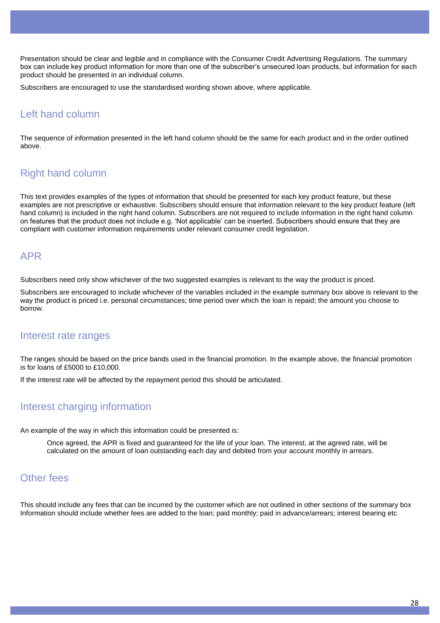Presentation should be clear and legible and in compliance with the Consumer Credit Advertising Regulations. The summary box can include key product information for more than one of the subscriber's unsecured loan products, but information for each product should be presented in an individual column.

Subscribers are encouraged to use the standardised wording shown above, where applicable.

## Left hand column

The sequence of information presented in the left hand column should be the same for each product and in the order outlined above.

## Right hand column

This text provides examples of the types of information that should be presented for each key product feature, but these examples are not prescriptive or exhaustive. Subscribers should ensure that information relevant to the key product feature (left hand column) is included in the right hand column. Subscribers are not required to include information in the right hand column on features that the product does not include e.g. 'Not applicable' can be inserted. Subscribers should ensure that they are compliant with customer information requirements under relevant consumer credit legislation.

# APR

Subscribers need only show whichever of the two suggested examples is relevant to the way the product is priced.

Subscribers are encouraged to include whichever of the variables included in the example summary box above is relevant to the way the product is priced i.e. personal circumstances; time period over which the loan is repaid; the amount you choose to borrow.

### Interest rate ranges

The ranges should be based on the price bands used in the financial promotion. In the example above, the financial promotion is for loans of £5000 to £10,000.

If the interest rate will be affected by the repayment period this should be articulated.

## Interest charging information

An example of the way in which this information could be presented is:

Once agreed, the APR is fixed and guaranteed for the life of your loan. The interest, at the agreed rate, will be calculated on the amount of loan outstanding each day and debited from your account monthly in arrears.

## Other fees

This should include any fees that can be incurred by the customer which are not outlined in other sections of the summary box Information should include whether fees are added to the loan; paid monthly; paid in advance/arrears; interest bearing etc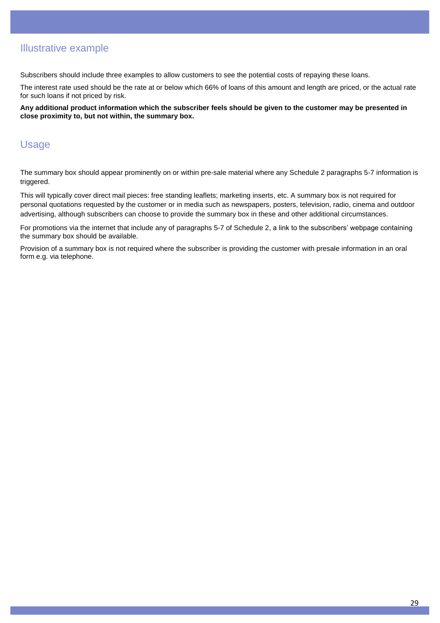# Illustrative example

Subscribers should include three examples to allow customers to see the potential costs of repaying these loans.

The interest rate used should be the rate at or below which 66% of loans of this amount and length are priced, or the actual rate for such loans if not priced by risk.

**Any additional product information which the subscriber feels should be given to the customer may be presented in close proximity to, but not within, the summary box.**

### Usage

The summary box should appear prominently on or within pre-sale material where any Schedule 2 paragraphs 5-7 information is triggered.

This will typically cover direct mail pieces: free standing leaflets; marketing inserts, etc. A summary box is not required for personal quotations requested by the customer or in media such as newspapers, posters, television, radio, cinema and outdoor advertising, although subscribers can choose to provide the summary box in these and other additional circumstances.

For promotions via the internet that include any of paragraphs 5-7 of Schedule 2, a link to the subscribers' webpage containing the summary box should be available.

Provision of a summary box is not required where the subscriber is providing the customer with presale information in an oral form e.g. via telephone.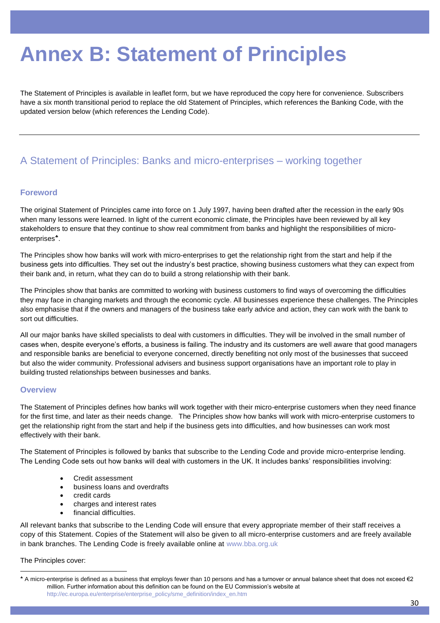# **Annex B: Statement of Principles**

The Statement of Principles is available in leaflet form, but we have reproduced the copy here for convenience. Subscribers have a six month transitional period to replace the old Statement of Principles, which references the Banking Code, with the updated version below (which references the Lending Code).

# A Statement of Principles: Banks and micro-enterprises – working together

### **Foreword**

The original Statement of Principles came into force on 1 July 1997, having been drafted after the recession in the early 90s when many lessons were learned. In light of the current economic climate, the Principles have been reviewed by all key stakeholders to ensure that they continue to show real commitment from banks and highlight the responsibilities of microenterprises .

The Principles show how banks will work with micro-enterprises to get the relationship right from the start and help if the business gets into difficulties. They set out the industry's best practice, showing business customers what they can expect from their bank and, in return, what they can do to build a strong relationship with their bank.

The Principles show that banks are committed to working with business customers to find ways of overcoming the difficulties they may face in changing markets and through the economic cycle. All businesses experience these challenges. The Principles also emphasise that if the owners and managers of the business take early advice and action, they can work with the bank to sort out difficulties.

All our major banks have skilled specialists to deal with customers in difficulties. They will be involved in the small number of cases when, despite everyone's efforts, a business is failing. The industry and its customers are well aware that good managers and responsible banks are beneficial to everyone concerned, directly benefiting not only most of the businesses that succeed but also the wider community. Professional advisers and business support organisations have an important role to play in building trusted relationships between businesses and banks.

#### **Overview**

The Statement of Principles defines how banks will work together with their micro-enterprise customers when they need finance for the first time, and later as their needs change. The Principles show how banks will work with micro-enterprise customers to get the relationship right from the start and help if the business gets into difficulties, and how businesses can work most effectively with their bank.

The Statement of Principles is followed by banks that subscribe to the Lending Code and provide micro-enterprise lending. The Lending Code sets out how banks will deal with customers in the UK. It includes banks' responsibilities involving:

- Credit assessment
- business loans and overdrafts
- credit cards
- charges and interest rates
- financial difficulties.

All relevant banks that subscribe to the Lending Code will ensure that every appropriate member of their staff receives a copy of this Statement. Copies of the Statement will also be given to all micro-enterprise customers and are freely available in bank branches. The Lending Code is freely available online at [www.bba.org.uk](http://www.bba.org.uk/) 

#### The Principles cover:

 $\overline{\phantom{a}}$ 

<sup>\*</sup> A micro-enterprise is defined as a business that employs fewer than 10 persons and has a turnover or annual balance sheet that does not exceed €2 million. Further information about this definition can be found on the EU Commission's website at [http://ec.europa.eu/enterprise/enterprise\\_policy/sme\\_definition/index\\_en.htm](http://ec.europa.eu/enterprise/enterprise_policy/sme_definition/index_en.htm)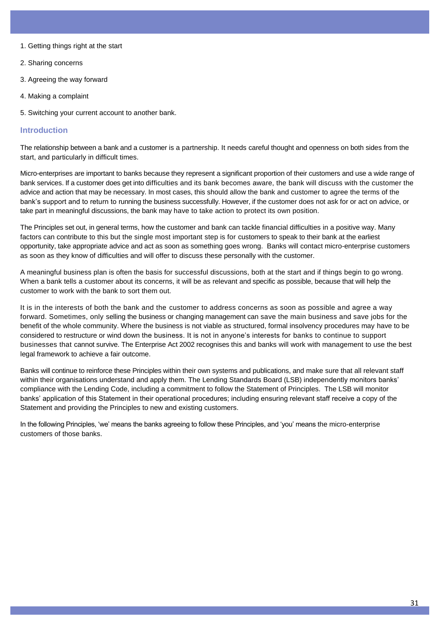- 1. Getting things right at the start
- 2. Sharing concerns
- 3. Agreeing the way forward
- 4. Making a complaint
- 5. Switching your current account to another bank.

### **Introduction**

The relationship between a bank and a customer is a partnership. It needs careful thought and openness on both sides from the start, and particularly in difficult times.

Micro-enterprises are important to banks because they represent a significant proportion of their customers and use a wide range of bank services. If a customer does get into difficulties and its bank becomes aware, the bank will discuss with the customer the advice and action that may be necessary. In most cases, this should allow the bank and customer to agree the terms of the bank's support and to return to running the business successfully. However, if the customer does not ask for or act on advice, or take part in meaningful discussions, the bank may have to take action to protect its own position.

The Principles set out, in general terms, how the customer and bank can tackle financial difficulties in a positive way. Many factors can contribute to this but the single most important step is for customers to speak to their bank at the earliest opportunity, take appropriate advice and act as soon as something goes wrong. Banks will contact micro-enterprise customers as soon as they know of difficulties and will offer to discuss these personally with the customer.

A meaningful business plan is often the basis for successful discussions, both at the start and if things begin to go wrong. When a bank tells a customer about its concerns, it will be as relevant and specific as possible, because that will help the customer to work with the bank to sort them out.

It is in the interests of both the bank and the customer to address concerns as soon as possible and agree a way forward. Sometimes, only selling the business or changing management can save the main business and save jobs for the benefit of the whole community. Where the business is not viable as structured, formal insolvency procedures may have to be considered to restructure or wind down the business. It is not in anyone's interests for banks to continue to support businesses that cannot survive. The Enterprise Act 2002 recognises this and banks will work with management to use the best legal framework to achieve a fair outcome.

Banks will continue to reinforce these Principles within their own systems and publications, and make sure that all relevant staff within their organisations understand and apply them. The Lending Standards Board (LSB) independently monitors banks' compliance with the Lending Code, including a commitment to follow the Statement of Principles. The LSB will monitor banks' application of this Statement in their operational procedures; including ensuring relevant staff receive a copy of the Statement and providing the Principles to new and existing customers.

In the following Principles, 'we' means the banks agreeing to follow these Principles, and 'you' means the micro-enterprise customers of those banks.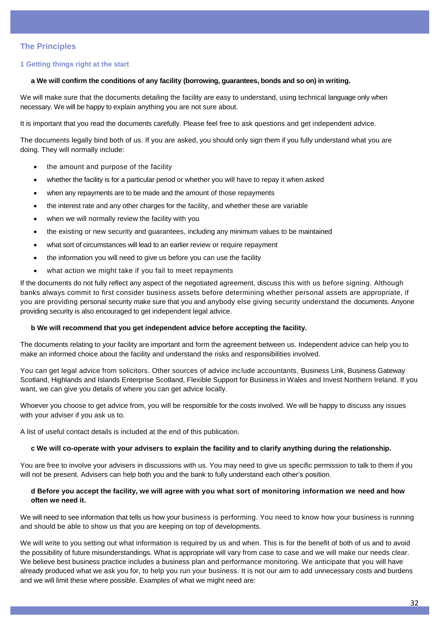### **The Principles**

#### **1 Getting things right at the start**

#### **a We will confirm the conditions of any facility (borrowing, guarantees, bonds and so on) in writing.**

We will make sure that the documents detailing the facility are easy to understand, using technical language only when necessary. We will be happy to explain anything you are not sure about.

It is important that you read the documents carefully. Please feel free to ask questions and get independent advice.

The documents legally bind both of us. If you are asked, you should only sign them if you fully understand what you are doing. They will normally include:

- the amount and purpose of the facility
- whether the facility is for a particular period or whether you will have to repay it when asked
- when any repayments are to be made and the amount of those repayments
- the interest rate and any other charges for the facility, and whether these are variable
- when we will normally review the facility with you
- the existing or new security and guarantees, including any minimum values to be maintained
- what sort of circumstances will lead to an earlier review or require repayment
- the information you will need to give us before you can use the facility
- what action we might take if you fail to meet repayments

If the documents do not fully reflect any aspect of the negotiated agreement, discuss this with us before signing. Although banks always commit to first consider business assets before determining whether personal assets are appropriate, if you are providing personal security make sure that you and anybody else giving security understand the documents. Anyone providing security is also encouraged to get independent legal advice.

#### **b We will recommend that you get independent advice before accepting the facility.**

The documents relating to your facility are important and form the agreement between us. Independent advice can help you to make an informed choice about the facility and understand the risks and responsibilities involved.

You can get legal advice from solicitors. Other sources of advice include accountants, Business Link, Business Gateway Scotland, Highlands and Islands Enterprise Scotland, Flexible Support for Business in Wales and Invest Northern Ireland. If you want, we can give you details of where you can get advice locally.

Whoever you choose to get advice from, you will be responsible for the costs involved. We will be happy to discuss any issues with your adviser if you ask us to.

A list of useful contact details is included at the end of this publication.

#### **c We will co-operate with your advisers to explain the facility and to clarify anything during the relationship.**

You are free to involve your advisers in discussions with us. You may need to give us specific permission to talk to them if you will not be present. Advisers can help both you and the bank to fully understand each other's position.

### **d Before you accept the facility, we will agree with you what sort of monitoring information we need and how often we need it.**

We will need to see information that tells us how your business is performing. You need to know how your business is running and should be able to show us that you are keeping on top of developments.

We will write to you setting out what information is required by us and when. This is for the benefit of both of us and to avoid the possibility of future misunderstandings. What is appropriate will vary from case to case and we will make our needs clear. We believe best business practice includes a business plan and performance monitoring. We anticipate that you will have already produced what we ask you for, to help you run your business. It is not our aim to add unnecessary costs and burdens and we will limit these where possible. Examples of what we might need are: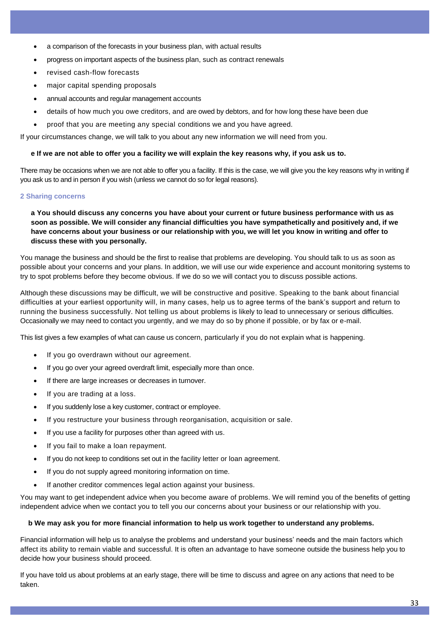- a comparison of the forecasts in your business plan, with actual results
- progress on important aspects of the business plan, such as contract renewals
- revised cash-flow forecasts
- major capital spending proposals
- annual accounts and regular management accounts
- details of how much you owe creditors, and are owed by debtors, and for how long these have been due
- proof that you are meeting any special conditions we and you have agreed.

If your circumstances change, we will talk to you about any new information we will need from you.

#### **e If we are not able to offer you a facility we will explain the key reasons why, if you ask us to.**

There may be occasions when we are not able to offer you a facility. If this is the case, we will give you the key reasons why in writing if you ask us to and in person if you wish (unless we cannot do so for legal reasons).

#### **2 Sharing concerns**

### **a You should discuss any concerns you have about your current or future business performance with us as soon as possible. We will consider any financial difficulties you have sympathetically and positively and, if we have concerns about your business or our relationship with you, we will let you know in writing and offer to discuss these with you personally.**

You manage the business and should be the first to realise that problems are developing. You should talk to us as soon as possible about your concerns and your plans. In addition, we will use our wide experience and account monitoring systems to try to spot problems before they become obvious. If we do so we will contact you to discuss possible actions.

Although these discussions may be difficult, we will be constructive and positive. Speaking to the bank about financial difficulties at your earliest opportunity will, in many cases, help us to agree terms of the bank's support and return to running the business successfully. Not telling us about problems is likely to lead to unnecessary or serious difficulties. Occasionally we may need to contact you urgently, and we may do so by phone if possible, or by fax or e-mail.

This list gives a few examples of what can cause us concern, particularly if you do not explain what is happening.

- If you go overdrawn without our agreement.
- If you go over your agreed overdraft limit, especially more than once.
- If there are large increases or decreases in turnover.
- If you are trading at a loss.
- If you suddenly lose a key customer, contract or employee.
- If you restructure your business through reorganisation, acquisition or sale.
- If you use a facility for purposes other than agreed with us.
- If you fail to make a loan repayment.
- If you do not keep to conditions set out in the facility letter or loan agreement.
- If you do not supply agreed monitoring information on time.
- If another creditor commences legal action against your business.

You may want to get independent advice when you become aware of problems. We will remind you of the benefits of getting independent advice when we contact you to tell you our concerns about your business or our relationship with you.

#### **b We may ask you for more financial information to help us work together to understand any problems.**

Financial information will help us to analyse the problems and understand your business' needs and the main factors which affect its ability to remain viable and successful. It is often an advantage to have someone outside the business help you to decide how your business should proceed.

If you have told us about problems at an early stage, there will be time to discuss and agree on any actions that need to be taken.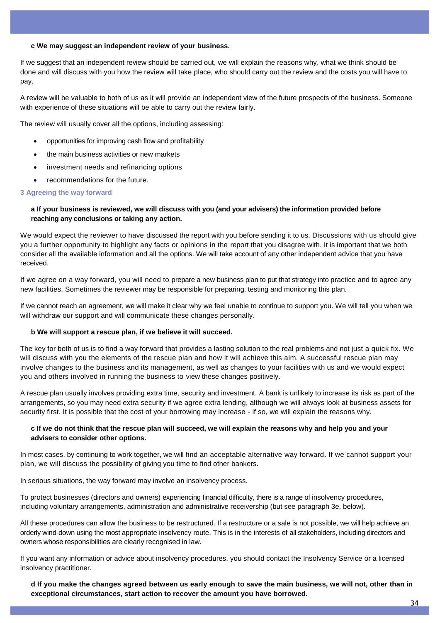#### **c We may suggest an independent review of your business.**

If we suggest that an independent review should be carried out, we will explain the reasons why, what we think should be done and will discuss with you how the review will take place, who should carry out the review and the costs you will have to pay.

A review will be valuable to both of us as it will provide an independent view of the future prospects of the business. Someone with experience of these situations will be able to carry out the review fairly.

The review will usually cover all the options, including assessing:

- opportunities for improving cash flow and profitability
- the main business activities or new markets
- investment needs and refinancing options
- recommendations for the future.

#### **3 Agreeing the way forward**

#### **a If your business is reviewed, we will discuss with you (and your advisers) the information provided before reaching any conclusions or taking any action.**

We would expect the reviewer to have discussed the report with you before sending it to us. Discussions with us should give you a further opportunity to highlight any facts or opinions in the report that you disagree with. It is important that we both consider all the available information and all the options. We will take account of any other independent advice that you have received.

If we agree on a way forward, you will need to prepare a new business plan to put that strategy into practice and to agree any new facilities. Sometimes the reviewer may be responsible for preparing, testing and monitoring this plan.

If we cannot reach an agreement, we will make it clear why we feel unable to continue to support you. We will tell you when we will withdraw our support and will communicate these changes personally.

#### **b We will support a rescue plan, if we believe it will succeed.**

The key for both of us is to find a way forward that provides a lasting solution to the real problems and not just a quick fix. We will discuss with you the elements of the rescue plan and how it will achieve this aim. A successful rescue plan may involve changes to the business and its management, as well as changes to your facilities with us and we would expect you and others involved in running the business to view these changes positively.

A rescue plan usually involves providing extra time, security and investment. A bank is unlikely to increase its risk as part of the arrangements, so you may need extra security if we agree extra lending, although we will always look at business assets for security first. It is possible that the cost of your borrowing may increase - if so, we will explain the reasons why.

#### **c If we do not think that the rescue plan will succeed, we will explain the reasons why and help you and your advisers to consider other options.**

In most cases, by continuing to work together, we will find an acceptable alternative way forward. If we cannot support your plan, we will discuss the possibility of giving you time to find other bankers.

In serious situations, the way forward may involve an insolvency process.

To protect businesses (directors and owners) experiencing financial difficulty, there is a range of insolvency procedures, including voluntary arrangements, administration and administrative receivership (but see paragraph 3e, below).

All these procedures can allow the business to be restructured. If a restructure or a sale is not possible, we will help achieve an orderly wind-down using the most appropriate insolvency route. This is in the interests of all stakeholders, including directors and owners whose responsibilities are clearly recognised in law.

If you want any information or advice about insolvency procedures, you should contact the Insolvency Service or a licensed insolvency practitioner.

**d If you make the changes agreed between us early enough to save the main business, we will not, other than in exceptional circumstances, start action to recover the amount you have borrowed.**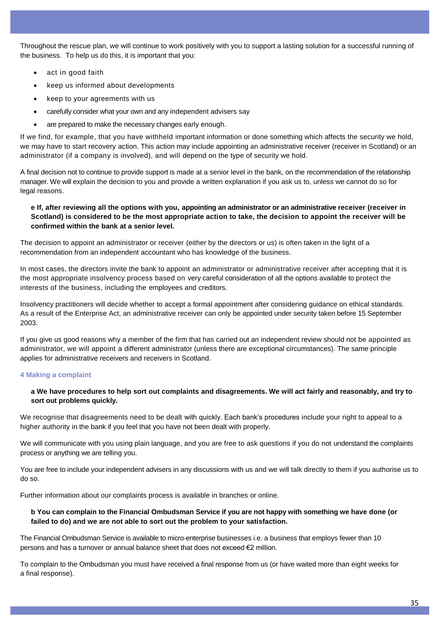Throughout the rescue plan, we will continue to work positively with you to support a lasting solution for a successful running of the business. To help us do this, it is important that you:

- act in good faith
- keep us informed about developments
- keep to your agreements with us
- carefully consider what your own and any independent advisers say
- are prepared to make the necessary changes early enough.

If we find, for example, that you have withheld important information or done something which affects the security we hold, we may have to start recovery action. This action may include appointing an administrative receiver (receiver in Scotland) or an administrator (if a company is involved), and will depend on the type of security we hold.

A final decision not to continue to provide support is made at a senior level in the bank, on the recommendation of the relationship manager. We will explain the decision to you and provide a written explanation if you ask us to, unless we cannot do so for legal reasons.

### **e If, after reviewing all the options with you, appointing an administrator or an administrative receiver (receiver in Scotland) is considered to be the most appropriate action to take, the decision to appoint the receiver will be confirmed within the bank at a senior level.**

The decision to appoint an administrator or receiver (either by the directors or us) is often taken in the light of a recommendation from an independent accountant who has knowledge of the business.

In most cases, the directors invite the bank to appoint an administrator or administrative receiver after accepting that it is the most appropriate insolvency process based on very careful consideration of all the options available to protect the interests of the business, including the employees and creditors.

Insolvency practitioners will decide whether to accept a formal appointment after considering guidance on ethical standards. As a result of the Enterprise Act, an administrative receiver can only be appointed under security taken before 15 September 2003.

If you give us good reasons why a member of the firm that has carried out an independent review should not be appointed as administrator, we will appoint a different administrator (unless there are exceptional circumstances). The same principle applies for administrative receivers and receivers in Scotland.

#### **4 Making a complaint**

### **a We have procedures to help sort out complaints and disagreements. We will act fairly and reasonably, and try to sort out problems quickly.**

We recognise that disagreements need to be dealt with quickly. Each bank's procedures include your right to appeal to a higher authority in the bank if you feel that you have not been dealt with properly.

We will communicate with you using plain language, and you are free to ask questions if you do not understand the complaints process or anything we are telling you.

You are free to include your independent advisers in any discussions with us and we will talk directly to them if you authorise us to do so.

Further information about our complaints process is available in branches or online.

### **b You can complain to the Financial Ombudsman Service if you are not happy with something we have done (or failed to do) and we are not able to sort out the problem to your satisfaction.**

The Financial Ombudsman Service is available to micro-enterprise businesses i.e. a business that employs fewer than 10 persons and has a turnover or annual balance sheet that does not exceed €2 million.

To complain to the Ombudsman you must have received a final response from us (or have waited more than eight weeks for a final response).